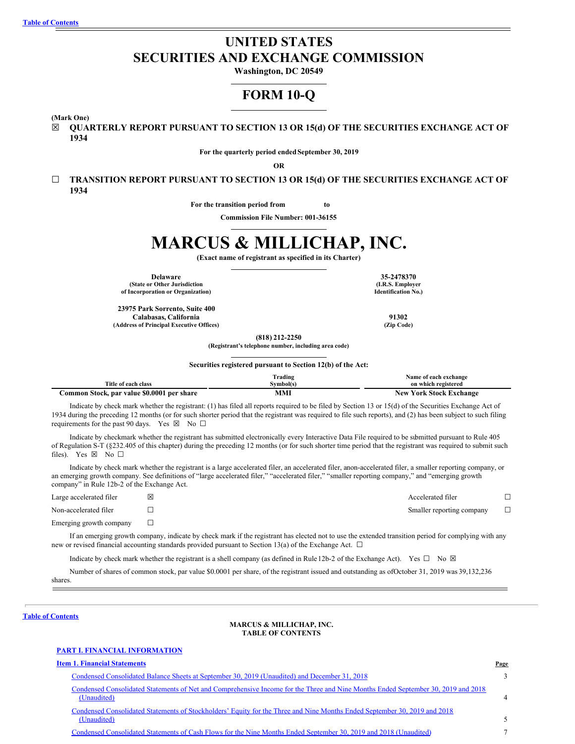# **UNITED STATES SECURITIES AND EXCHANGE COMMISSION**

**Washington, DC 20549**

## **FORM 10-Q**

**(Mark One)**

☒ **QUARTERLY REPORT PURSUANT TO SECTION 13 OR 15(d) OF THE SECURITIES EXCHANGE ACT OF 1934**

**For the quarterly period endedSeptember 30, 2019**

**OR**

☐ **TRANSITION REPORT PURSUANT TO SECTION 13 OR 15(d) OF THE SECURITIES EXCHANGE ACT OF 1934**

**For the transition period from to**

**Commission File Number: 001-36155**

# **MARCUS & MILLICHAP, INC.**

**(Exact name of registrant as specified in its Charter)**

**Delaware 35-2478370 (State or Other Jurisdiction of Incorporation or Organization)**

**23975 Park Sorrento, Suite 400 Calabasas, California 91302 (Address of Principal Executive Offices) (Zip Code)**

**(I.R.S. Employer Identification No.)**

**(818) 212-2250**

**(Registrant's telephone number, including area code)**

**Securities registered pursuant to Section 12(b) of the Act:**

|                                            | Frading   | Name of each exchange          |
|--------------------------------------------|-----------|--------------------------------|
| Title of each class                        | Svmbol(s) | on which registered            |
| Common Stock, par value \$0.0001 per share | MMI       | <b>New York Stock Exchange</b> |

Indicate by check mark whether the registrant: (1) has filed all reports required to be filed by Section 13 or 15(d) of the Securities Exchange Act of 1934 during the preceding 12 months (or for such shorter period that the registrant was required to file such reports), and (2) has been subject to such filing requirements for the past 90 days. Yes  $\boxtimes$  No  $\Box$ 

Indicate by checkmark whether the registrant has submitted electronically every Interactive Data File required to be submitted pursuant to Rule 405 of Regulation S-T (§232.405 of this chapter) during the preceding 12 months (or for such shorter time period that the registrant was required to submit such files). Yes  $\boxtimes$  No  $\Box$ 

Indicate by check mark whether the registrant is a large accelerated filer, an accelerated filer, anon-accelerated filer, a smaller reporting company, or an emerging growth company. See definitions of "large accelerated filer," "accelerated filer," "smaller reporting company," and "emerging growth company" in Rule 12b-2 of the Exchange Act.

| Large accelerated filer | × | Accelerated filer         |  |
|-------------------------|---|---------------------------|--|
| Non-accelerated filer   |   | Smaller reporting company |  |
| Emerging growth company |   |                           |  |

If an emerging growth company, indicate by check mark if the registrant has elected not to use the extended transition period for complying with any new or revised financial accounting standards provided pursuant to Section 13(a) of the Exchange Act.  $\Box$ 

Indicate by check mark whether the registrant is a shell company (as defined in Rule 12b-2 of the Exchange Act). Yes  $\Box$  No  $\boxtimes$ 

Number of shares of common stock, par value \$0.0001 per share, of the registrant issued and outstanding as ofOctober 31, 2019 was 39,132,236 shares.

## **Table of [Contents](#page-0-0)**

<span id="page-0-0"></span>**PART I. FINANCIAL [INFORMATION](#page-1-0)**

## **MARCUS & MILLICHAP, INC. TABLE OF CONTENTS**

| <b>Item 1. Financial Statements</b>                                                                                                              | Page |
|--------------------------------------------------------------------------------------------------------------------------------------------------|------|
| Condensed Consolidated Balance Sheets at September 30, 2019 (Unaudited) and December 31, 2018                                                    |      |
| Condensed Consolidated Statements of Net and Comprehensive Income for the Three and Nine Months Ended September 30, 2019 and 2018<br>(Unaudited) |      |
| Condensed Consolidated Statements of Stockholders' Equity for the Three and Nine Months Ended September 30, 2019 and 2018<br>(Unaudited)         |      |
| Condensed Consolidated Statements of Cash Flows for the Nine Months Ended September 30, 2019 and 2018 (Unaudited)                                |      |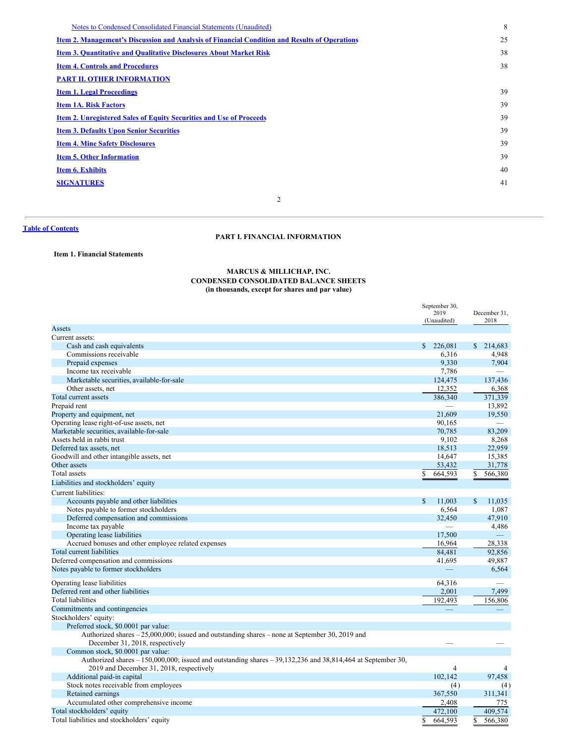| Notes to Condensed Consolidated Financial Statements (Unaudited)                                     | 8  |
|------------------------------------------------------------------------------------------------------|----|
| <u>Item 2. Management's Discussion and Analysis of Financial Condition and Results of Operations</u> | 25 |
| <b>Item 3. Quantitative and Qualitative Disclosures About Market Risk</b>                            | 38 |
| <b>Item 4. Controls and Procedures</b>                                                               | 38 |
| <b>PART II. OTHER INFORMATION</b>                                                                    |    |
| <b>Item 1. Legal Proceedings</b>                                                                     | 39 |
| <b>Item 1A. Risk Factors</b>                                                                         | 39 |
| <b>Item 2. Unregistered Sales of Equity Securities and Use of Proceeds</b>                           | 39 |
| <b>Item 3. Defaults Upon Senior Securities</b>                                                       | 39 |
| <b>Item 4. Mine Safety Disclosures</b>                                                               | 39 |
| <b>Item 5. Other Information</b>                                                                     | 39 |
| <b>Item 6. Exhibits</b>                                                                              | 40 |
| <b>SIGNATURES</b>                                                                                    | 41 |
| 2                                                                                                    |    |

## **Table of [Contents](#page-0-0)**

## **PART I. FINANCIAL INFORMATION**

<span id="page-1-1"></span><span id="page-1-0"></span>**Item 1. Financial Statements**

## **MARCUS & MILLICHAP, INC. CONDENSED CONSOLIDATED BALANCE SHEETS (in thousands, except for shares and par value)**

<span id="page-1-2"></span>

| 2019<br>December 31,<br>2018<br>(Unaudited)<br>Assets<br>Current assets:<br>Cash and cash equivalents<br>\$226,081<br>\$ 214,683<br>Commissions receivable<br>6,316<br>4,948<br>Prepaid expenses<br>9,330<br>7,904<br>Income tax receivable<br>7,786<br>$\overline{\phantom{m}}$<br>Marketable securities, available-for-sale<br>124,475<br>137,436<br>Other assets, net<br>12,352<br>6,368 |
|---------------------------------------------------------------------------------------------------------------------------------------------------------------------------------------------------------------------------------------------------------------------------------------------------------------------------------------------------------------------------------------------|
|                                                                                                                                                                                                                                                                                                                                                                                             |
|                                                                                                                                                                                                                                                                                                                                                                                             |
|                                                                                                                                                                                                                                                                                                                                                                                             |
|                                                                                                                                                                                                                                                                                                                                                                                             |
|                                                                                                                                                                                                                                                                                                                                                                                             |
|                                                                                                                                                                                                                                                                                                                                                                                             |
|                                                                                                                                                                                                                                                                                                                                                                                             |
|                                                                                                                                                                                                                                                                                                                                                                                             |
|                                                                                                                                                                                                                                                                                                                                                                                             |
|                                                                                                                                                                                                                                                                                                                                                                                             |
| Total current assets<br>386,340<br>371,339                                                                                                                                                                                                                                                                                                                                                  |
| Prepaid rent<br>13,892                                                                                                                                                                                                                                                                                                                                                                      |
| Property and equipment, net<br>21,609<br>19,550                                                                                                                                                                                                                                                                                                                                             |
| Operating lease right-of-use assets, net<br>90,165                                                                                                                                                                                                                                                                                                                                          |
| 83,209<br>Marketable securities, available-for-sale<br>70,785                                                                                                                                                                                                                                                                                                                               |
| Assets held in rabbi trust<br>9,102<br>8,268                                                                                                                                                                                                                                                                                                                                                |
| Deferred tax assets, net<br>18,513<br>22,959                                                                                                                                                                                                                                                                                                                                                |
| Goodwill and other intangible assets, net<br>14,647<br>15,385                                                                                                                                                                                                                                                                                                                               |
| 53,432<br>31,778<br>Other assets                                                                                                                                                                                                                                                                                                                                                            |
| Total assets<br>\$<br>664,593<br>\$<br>566,380                                                                                                                                                                                                                                                                                                                                              |
| Liabilities and stockholders' equity                                                                                                                                                                                                                                                                                                                                                        |
| Current liabilities:                                                                                                                                                                                                                                                                                                                                                                        |
| <sup>\$</sup><br>Accounts payable and other liabilities<br>11,003<br>\$<br>11,035                                                                                                                                                                                                                                                                                                           |
| 6,564<br>Notes payable to former stockholders<br>1,087                                                                                                                                                                                                                                                                                                                                      |
| Deferred compensation and commissions<br>32,450<br>47,910                                                                                                                                                                                                                                                                                                                                   |
| Income tax payable<br>4,486                                                                                                                                                                                                                                                                                                                                                                 |
| Operating lease liabilities<br>17,500                                                                                                                                                                                                                                                                                                                                                       |
| 28,338<br>Accrued bonuses and other employee related expenses<br>16,964                                                                                                                                                                                                                                                                                                                     |
| Total current liabilities<br>84,481<br>92.856                                                                                                                                                                                                                                                                                                                                               |
| Deferred compensation and commissions<br>41,695<br>49,887                                                                                                                                                                                                                                                                                                                                   |
| Notes payable to former stockholders<br>6,564                                                                                                                                                                                                                                                                                                                                               |
|                                                                                                                                                                                                                                                                                                                                                                                             |
| Operating lease liabilities<br>64,316                                                                                                                                                                                                                                                                                                                                                       |
| Deferred rent and other liabilities<br>2,001<br>7,499                                                                                                                                                                                                                                                                                                                                       |
| Total liabilities<br>192,493<br>156,806                                                                                                                                                                                                                                                                                                                                                     |
| Commitments and contingencies                                                                                                                                                                                                                                                                                                                                                               |
| Stockholders' equity:                                                                                                                                                                                                                                                                                                                                                                       |
| Preferred stock, \$0.0001 par value:                                                                                                                                                                                                                                                                                                                                                        |
| Authorized shares - 25,000,000; issued and outstanding shares - none at September 30, 2019 and                                                                                                                                                                                                                                                                                              |
| December 31, 2018, respectively                                                                                                                                                                                                                                                                                                                                                             |
| Common stock, \$0.0001 par value:                                                                                                                                                                                                                                                                                                                                                           |
| Authorized shares – 150,000,000; issued and outstanding shares – 39,132,236 and 38,814,464 at September 30,                                                                                                                                                                                                                                                                                 |
| $\overline{4}$<br>2019 and December 31, 2018, respectively<br>4                                                                                                                                                                                                                                                                                                                             |
| 102,142<br>Additional paid-in capital<br>97.458                                                                                                                                                                                                                                                                                                                                             |
| Stock notes receivable from employees<br>(4)<br>(4)                                                                                                                                                                                                                                                                                                                                         |
| Retained earnings<br>367,550<br>311,341                                                                                                                                                                                                                                                                                                                                                     |
| Accumulated other comprehensive income<br>2,408<br>775                                                                                                                                                                                                                                                                                                                                      |
| 472.100<br>409.574<br>Total stockholders' equity                                                                                                                                                                                                                                                                                                                                            |
| Total liabilities and stockholders' equity<br>664.593<br>\$<br>566.380<br>S                                                                                                                                                                                                                                                                                                                 |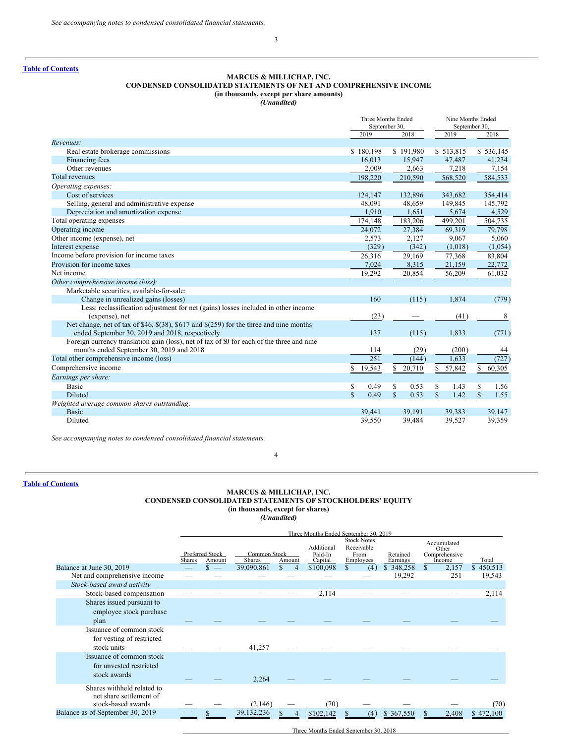## **Table of [Contents](#page-0-0)**

## **MARCUS & MILLICHAP, INC. CONDENSED CONSOLIDATED STATEMENTS OF NET AND COMPREHENSIVE INCOME (in thousands, except per share amounts)**

*(Unaudited)*

<span id="page-2-0"></span>

|                                                                                                     | Three Months Ended<br>September 30, |                      | Nine Months Ended<br>September 30, |                      |
|-----------------------------------------------------------------------------------------------------|-------------------------------------|----------------------|------------------------------------|----------------------|
|                                                                                                     | 2019                                | 2018                 | 2019                               | 2018                 |
| Revenues:                                                                                           |                                     |                      |                                    |                      |
| Real estate brokerage commissions                                                                   | \$180,198                           | \$191,980            | \$513,815                          | \$536,145            |
| Financing fees                                                                                      | 16.013                              | 15,947               | 47,487                             | 41,234               |
| Other revenues                                                                                      | 2,009                               | 2,663                | 7,218                              | 7,154                |
| <b>Total revenues</b>                                                                               | 198,220                             | 210,590              | 568,520                            | 584,533              |
| Operating expenses:                                                                                 |                                     |                      |                                    |                      |
| Cost of services                                                                                    | 124,147                             | 132,896              | 343,682                            | 354,414              |
| Selling, general and administrative expense                                                         | 48,091                              | 48,659               | 149,845                            | 145,792              |
| Depreciation and amortization expense                                                               | 1,910                               | 1,651                | 5,674                              | 4,529                |
| Total operating expenses                                                                            | 174,148                             | 183,206              | 499,201                            | 504,735              |
| Operating income                                                                                    | 24,072                              | 27,384               | 69,319                             | 79,798               |
| Other income (expense), net                                                                         | 2,573                               | 2,127                | 9.067                              | 5,060                |
| Interest expense                                                                                    | (329)                               | (342)                | (1,018)                            | (1,054)              |
| Income before provision for income taxes                                                            | 26,316                              | 29,169               | 77,368                             | 83,804               |
| Provision for income taxes                                                                          | 7,024                               | 8,315                | 21,159                             | 22,772               |
| Net income                                                                                          | 19,292                              | 20,854               | 56,209                             | 61,032               |
| Other comprehensive income (loss):                                                                  |                                     |                      |                                    |                      |
| Marketable securities, available-for-sale:                                                          |                                     |                      |                                    |                      |
| Change in unrealized gains (losses)                                                                 | 160                                 | (115)                | 1,874                              | (779)                |
| Less: reclassification adjustment for net (gains) losses included in other income                   |                                     |                      |                                    |                      |
| (expense), net                                                                                      | (23)                                |                      | (41)                               | 8                    |
| Net change, net of tax of \$46, $\frac{638}{803}$ , \$617 and \$(259) for the three and nine months |                                     |                      |                                    |                      |
| ended September 30, 2019 and 2018, respectively                                                     | 137                                 | (115)                | 1,833                              | (771)                |
| Foreign currency translation gain (loss), net of tax of \$0 for each of the three and nine          |                                     |                      |                                    |                      |
| months ended September 30, 2019 and 2018                                                            | 114                                 | (29)                 | (200)                              | 44                   |
| Total other comprehensive income (loss)                                                             | 251                                 | (144)                | 1.633                              | (727)                |
| Comprehensive income                                                                                | \$<br>19,543                        | Ŝ.<br>20,710         | $\mathbb{S}$<br>57,842             | \$<br>60,305         |
| Earnings per share:                                                                                 |                                     |                      |                                    |                      |
| <b>Basic</b>                                                                                        | \$<br>0.49                          | \$<br>0.53           | S<br>1.43                          | S<br>1.56            |
| <b>Diluted</b>                                                                                      | $\mathbf{s}$<br>0.49                | $\mathbb{S}$<br>0.53 | $\mathbf{s}$<br>1.42               | $\mathbf{s}$<br>1.55 |
| Weighted average common shares outstanding:                                                         |                                     |                      |                                    |                      |
| <b>Basic</b>                                                                                        | 39,441                              | 39,191               | 39,383                             | 39,147               |
| Diluted                                                                                             | 39,550                              | 39,484               | 39,527                             | 39,359               |

*See accompanying notes to condensed consolidated financial statements.*

**Table of [Contents](#page-0-0)**

## **MARCUS & MILLICHAP, INC. CONDENSED CONSOLIDATED STATEMENTS OF STOCKHOLDERS' EQUITY (in thousands, except for shares)**

4

*(Unaudited)*

<span id="page-2-1"></span>

|                                                                                                                 | Three Months Ended September 30, 2019 |                           |                               |                      |                                  |                                                       |                      |                                                 |                 |
|-----------------------------------------------------------------------------------------------------------------|---------------------------------------|---------------------------|-------------------------------|----------------------|----------------------------------|-------------------------------------------------------|----------------------|-------------------------------------------------|-----------------|
|                                                                                                                 | <b>Shares</b>                         | Preferred Stock<br>Amount | Common Stock<br><b>Shares</b> | Amount               | Additional<br>Paid-In<br>Capital | <b>Stock Notes</b><br>Receivable<br>From<br>Employees | Retained<br>Earnings | Accumulated<br>Other<br>Comprehensive<br>Income | Total           |
| Balance at June 30, 2019                                                                                        |                                       | $s =$                     | 39,090,861                    | \$<br>$\overline{4}$ | \$100,098                        | S.<br>(4)                                             | \$348,258            | $\mathbf S$<br>2,157                            | \$450,513       |
| Net and comprehensive income                                                                                    |                                       |                           |                               |                      |                                  |                                                       | 19,292               | 251                                             | 19,543          |
| Stock-based award activity                                                                                      |                                       |                           |                               |                      |                                  |                                                       |                      |                                                 |                 |
| Stock-based compensation                                                                                        |                                       |                           |                               |                      | 2,114                            |                                                       |                      |                                                 | 2,114           |
| Shares issued pursuant to<br>employee stock purchase<br>plan                                                    |                                       |                           |                               |                      |                                  |                                                       |                      |                                                 |                 |
| Issuance of common stock<br>for vesting of restricted<br>stock units                                            |                                       |                           | 41,257                        |                      |                                  |                                                       |                      |                                                 |                 |
| Issuance of common stock<br>for unvested restricted<br>stock awards                                             |                                       |                           | 2,264                         |                      |                                  |                                                       |                      |                                                 |                 |
| Shares withheld related to<br>net share settlement of<br>stock-based awards<br>Balance as of September 30, 2019 |                                       |                           | (2,146)<br>39,132,236         |                      | (70)<br>\$102,142                | (4)                                                   | \$ 367,550           | 2,408                                           | (70)<br>472,100 |

Three Months Ended September 30, 2018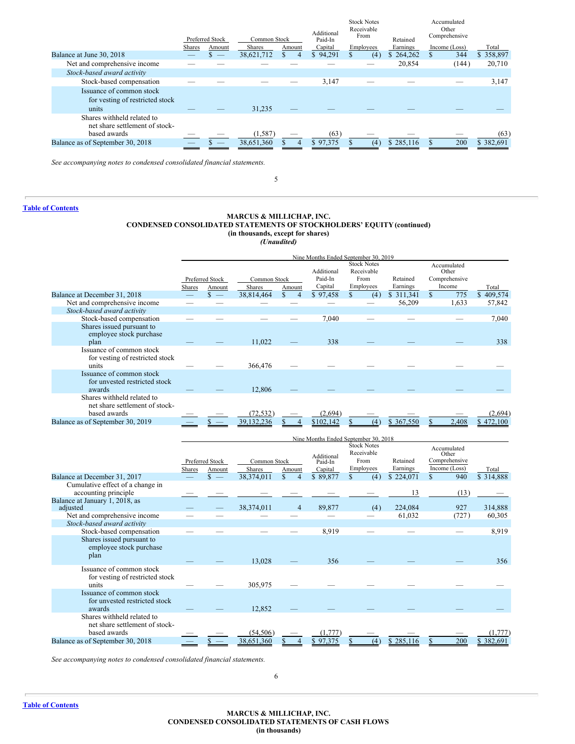|                                                                              |               | Preferred Stock          | Common Stock |                      | Additional<br>Paid-In | <b>Stock Notes</b><br>Receivable<br>From | Retained  | Accumulated<br>Other<br>Comprehensive |           |
|------------------------------------------------------------------------------|---------------|--------------------------|--------------|----------------------|-----------------------|------------------------------------------|-----------|---------------------------------------|-----------|
|                                                                              | <b>Shares</b> | Amount                   | Shares       | Amount               | Capital               | Employees                                | Earnings  | Income (Loss)                         | Total     |
| Balance at June 30, 2018                                                     |               |                          | 38,621,712   | \$<br>$\overline{4}$ | \$94,291              | (4)                                      | \$264,262 | 344                                   | \$358,897 |
| Net and comprehensive income                                                 |               |                          |              |                      |                       |                                          | 20,854    | (144)                                 | 20,710    |
| Stock-based award activity                                                   |               |                          |              |                      |                       |                                          |           |                                       |           |
| Stock-based compensation                                                     |               |                          |              |                      | 3,147                 |                                          |           |                                       | 3,147     |
| Issuance of common stock<br>for vesting of restricted stock                  |               |                          |              |                      |                       |                                          |           |                                       |           |
| units                                                                        |               |                          | 31.235       |                      |                       |                                          |           |                                       |           |
| Shares withheld related to<br>net share settlement of stock-<br>based awards |               |                          | (1, 587)     |                      | (63)                  |                                          |           |                                       | (63)      |
| Balance as of September 30, 2018                                             |               | $\overline{\phantom{m}}$ | 38.651.360   | $\overline{4}$       | \$97,375              | (4)                                      | \$285,116 | 200                                   | \$382,691 |

*See accompanying notes to condensed consolidated financial statements.*

## 5

## **Table of [Contents](#page-0-0)**

## **MARCUS & MILLICHAP, INC. CONDENSED CONSOLIDATED STATEMENTS OF STOCKHOLDERS' EQUITY (continued) (in thousands, except for shares)** *(Unaudited)*

Nine Months Ended September 30, 2019 Stock Notes Accumulated Other Preferred Stock Common Stock<br>Shares Amount Shares Additional Paid-In Receivable From Retained Comprehensive Shares Amount Shares Amount Capital Employees Earnings Income Total Balance at December 31, 2018 — \$ — 38,814,464 \$ 4 \$ 97,458 \$ (4) \$ 311,341 \$ 775 \$ 409,574 Net and comprehensive income *Stock-based award activity* Stock-based compensation — — — — — 7,040 — — — 7,040 Shares issued pursuant to employee stock purchase plan — — 11,022 — 338 — — — 338 Issuance of common stock for vesting of restricted stock units  $-$  366,476  $-$ Issuance of common stock for unvested restricted stock awards –  $-$  12,806  $-$  –  $-$ Shares withheld related to net share settlement of stockbased awards — — — (72,532) — (2,694) — — — (2,694) Balance as of September 30, 2019 —  $\overline{\hspace{1.6cm}S}$   $\overline{\hspace{1.6cm}S}$   $\overline{\hspace{1.6cm}S}$   $\overline{\hspace{1.6cm}S}$   $\overline{\hspace{1.6cm}S}$   $\overline{\hspace{1.6cm}S}$   $\overline{\hspace{1.6cm}S}$   $\overline{\hspace{1.6cm}S}$   $\overline{\hspace{1.6cm}S}$   $\overline{\hspace{1.6cm}S}$   $\overline{\hspace{1.6cm}S}$ 

|                                                                              | Nine Months Ended September 30, 2018 |                                          |               |                                |            |                                  |           |                      |           |
|------------------------------------------------------------------------------|--------------------------------------|------------------------------------------|---------------|--------------------------------|------------|----------------------------------|-----------|----------------------|-----------|
|                                                                              |                                      |                                          |               |                                | Additional | <b>Stock Notes</b><br>Receivable |           | Accumulated<br>Other |           |
|                                                                              |                                      | Preferred Stock                          | Common Stock  |                                | Paid-In    | From                             | Retained  | Comprehensive        |           |
|                                                                              | <b>Shares</b>                        | Amount                                   | <b>Shares</b> | Amount                         | Capital    | Employees                        | Earnings  | Income (Loss)        | Total     |
| Balance at December 31, 2017                                                 |                                      | $\mathbf{s}$<br>$\overline{\phantom{m}}$ | 38,374,011    | $\mathbf{s}$<br>$\overline{4}$ | \$89,877   | \$.<br>(4)                       | \$224,071 | $\mathbf{s}$<br>940  | \$314,888 |
| Cumulative effect of a change in                                             |                                      |                                          |               |                                |            |                                  |           |                      |           |
| accounting principle                                                         |                                      |                                          |               |                                |            |                                  | 13        | (13)                 |           |
| Balance at January 1, 2018, as                                               |                                      |                                          |               |                                |            |                                  |           |                      |           |
| adjusted                                                                     |                                      |                                          | 38,374,011    | $\overline{4}$                 | 89,877     | (4)                              | 224,084   | 927                  | 314,888   |
| Net and comprehensive income                                                 |                                      |                                          |               |                                |            |                                  | 61,032    | (727)                | 60,305    |
| Stock-based award activity                                                   |                                      |                                          |               |                                |            |                                  |           |                      |           |
| Stock-based compensation                                                     |                                      |                                          |               |                                | 8,919      |                                  |           |                      | 8,919     |
| Shares issued pursuant to<br>employee stock purchase<br>plan                 |                                      |                                          | 13,028        |                                | 356        |                                  |           |                      | 356       |
| Issuance of common stock<br>for vesting of restricted stock<br>units         |                                      |                                          | 305,975       |                                |            |                                  |           |                      |           |
| Issuance of common stock<br>for unvested restricted stock<br>awards          |                                      |                                          | 12,852        |                                |            |                                  |           |                      |           |
| Shares withheld related to<br>net share settlement of stock-<br>based awards |                                      |                                          | (54, 506)     |                                | (1,777)    |                                  |           |                      | (1,777)   |
| Balance as of September 30, 2018                                             |                                      |                                          | 38,651,360    |                                | \$97,375   | (4)                              | \$285,116 | 200                  | \$382,691 |

<span id="page-3-0"></span>*See accompanying notes to condensed consolidated financial statements.*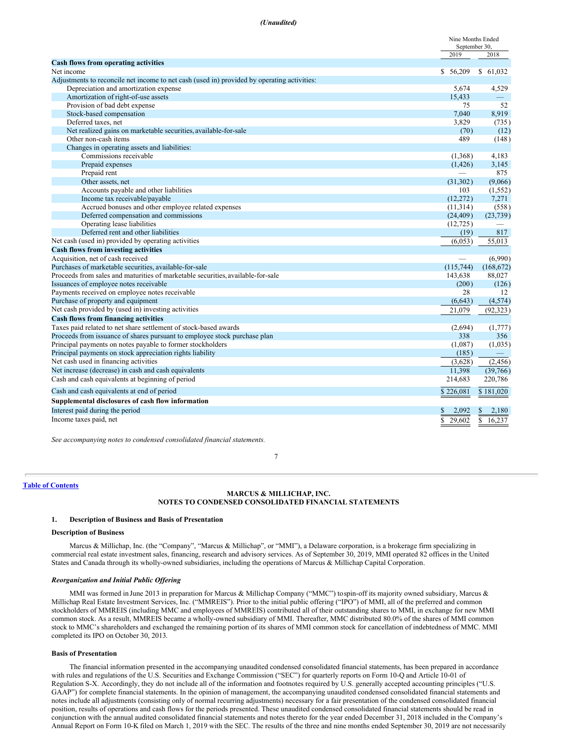#### *(Unaudited)*

|                                                                                             | Nine Months Ended<br>September 30. |                          |
|---------------------------------------------------------------------------------------------|------------------------------------|--------------------------|
|                                                                                             | 2019                               | 2018                     |
| <b>Cash flows from operating activities</b>                                                 |                                    |                          |
| Net income                                                                                  | \$56,209                           | \$61,032                 |
| Adjustments to reconcile net income to net cash (used in) provided by operating activities: |                                    |                          |
| Depreciation and amortization expense                                                       | 5,674                              | 4,529                    |
| Amortization of right-of-use assets                                                         | 15,433                             | $\overline{\phantom{0}}$ |
| Provision of bad debt expense                                                               | 75                                 | 52                       |
| Stock-based compensation                                                                    | 7.040                              | 8,919                    |
| Deferred taxes, net                                                                         | 3,829                              | (735)                    |
| Net realized gains on marketable securities, available-for-sale                             | (70)                               | (12)                     |
| Other non-cash items                                                                        | 489                                | (148)                    |
| Changes in operating assets and liabilities:                                                |                                    |                          |
| Commissions receivable                                                                      | (1,368)                            | 4,183                    |
| Prepaid expenses                                                                            | (1, 426)                           | 3,145                    |
| Prepaid rent                                                                                |                                    | 875                      |
| Other assets, net                                                                           | (31,302)                           | (9,066)                  |
| Accounts payable and other liabilities                                                      | 103                                | (1, 552)                 |
| Income tax receivable/payable                                                               | (12, 272)                          | 7,271                    |
| Accrued bonuses and other employee related expenses                                         | (11,314)                           | (558)                    |
| Deferred compensation and commissions                                                       | (24, 409)                          | (23, 739)                |
| Operating lease liabilities                                                                 | (12, 725)                          |                          |
| Deferred rent and other liabilities                                                         | (19)                               | 817                      |
| Net cash (used in) provided by operating activities                                         | (6,053)                            | 55.013                   |
| <b>Cash flows from investing activities</b>                                                 |                                    |                          |
| Acquisition, net of cash received                                                           |                                    | (6,990)                  |
| Purchases of marketable securities, available-for-sale                                      | (115, 744)                         | (168, 672)               |
| Proceeds from sales and maturities of marketable securities, available-for-sale             | 143,638                            | 88,027                   |
| Issuances of employee notes receivable                                                      | (200)                              | (126)                    |
| Payments received on employee notes receivable                                              | 28                                 | 12                       |
| Purchase of property and equipment                                                          | (6,643)                            | (4, 574)                 |
| Net cash provided by (used in) investing activities                                         | 21.079                             | (92, 323)                |
| <b>Cash flows from financing activities</b>                                                 |                                    |                          |
| Taxes paid related to net share settlement of stock-based awards                            | (2,694)                            | (1,777)                  |
| Proceeds from issuance of shares pursuant to employee stock purchase plan                   | 338                                | 356                      |
| Principal payments on notes payable to former stockholders                                  | (1,087)                            | (1,035)                  |
| Principal payments on stock appreciation rights liability                                   | (185)                              |                          |
| Net cash used in financing activities                                                       | (3,628)                            | (2, 456)                 |
| Net increase (decrease) in cash and cash equivalents                                        | 11,398                             | (39,766)                 |
| Cash and cash equivalents at beginning of period                                            | 214,683                            | 220,786                  |
| Cash and cash equivalents at end of period                                                  | \$226,081                          | \$181,020                |
| Supplemental disclosures of cash flow information                                           |                                    |                          |
| Interest paid during the period                                                             | 2,092<br>S                         | 2,180                    |
| Income taxes paid, net                                                                      | S<br>29,602                        | \$<br>16,237             |

*See accompanying notes to condensed consolidated financial statements.*

## **Table of [Contents](#page-0-0)**

## **MARCUS & MILLICHAP, INC. NOTES TO CONDENSED CONSOLIDATED FINANCIAL STATEMENTS**

7

#### <span id="page-4-0"></span>**1. Description of Business and Basis of Presentation**

#### **Description of Business**

Marcus & Millichap, Inc. (the "Company", "Marcus & Millichap", or "MMI"), a Delaware corporation, is a brokerage firm specializing in commercial real estate investment sales, financing, research and advisory services. As of September 30, 2019, MMI operated 82 offices in the United States and Canada through its wholly-owned subsidiaries, including the operations of Marcus & Millichap Capital Corporation.

## *Reorganization and Initial Public Of ering*

MMI was formed in June 2013 in preparation for Marcus & Millichap Company ("MMC") tospin-off its majority owned subsidiary, Marcus & Millichap Real Estate Investment Services, Inc. ("MMREIS"). Prior to the initial public offering ("IPO") of MMI, all of the preferred and common stockholders of MMREIS (including MMC and employees of MMREIS) contributed all of their outstanding shares to MMI, in exchange for new MMI common stock. As a result, MMREIS became a wholly-owned subsidiary of MMI. Thereafter, MMC distributed 80.0% of the shares of MMI common stock to MMC's shareholders and exchanged the remaining portion of its shares of MMI common stock for cancellation of indebtedness of MMC. MMI completed its IPO on October 30, 2013.

#### **Basis of Presentation**

The financial information presented in the accompanying unaudited condensed consolidated financial statements, has been prepared in accordance with rules and regulations of the U.S. Securities and Exchange Commission ("SEC") for quarterly reports on Form 10-Q and Article 10-01 of Regulation S-X. Accordingly, they do not include all of the information and footnotes required by U.S. generally accepted accounting principles ("U.S. GAAP") for complete financial statements. In the opinion of management, the accompanying unaudited condensed consolidated financial statements and notes include all adjustments (consisting only of normal recurring adjustments) necessary for a fair presentation of the condensed consolidated financial position, results of operations and cash flows for the periods presented. These unaudited condensed consolidated financial statements should be read in conjunction with the annual audited consolidated financial statements and notes thereto for the year ended December 31, 2018 included in the Company's Annual Report on Form 10-K filed on March 1, 2019 with the SEC. The results of the three and nine months ended September 30, 2019 are not necessarily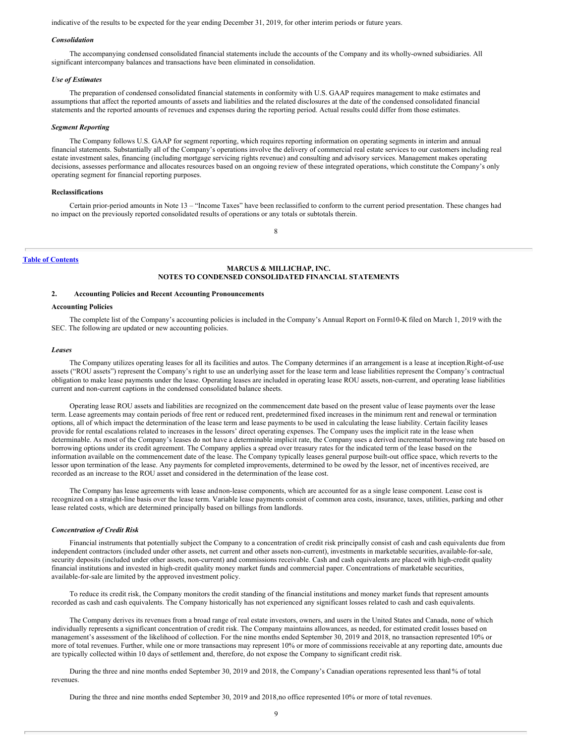indicative of the results to be expected for the year ending December 31, 2019, for other interim periods or future years.

## *Consolidation*

The accompanying condensed consolidated financial statements include the accounts of the Company and its wholly-owned subsidiaries. All significant intercompany balances and transactions have been eliminated in consolidation.

## *Use of Estimates*

The preparation of condensed consolidated financial statements in conformity with U.S. GAAP requires management to make estimates and assumptions that affect the reported amounts of assets and liabilities and the related disclosures at the date of the condensed consolidated financial statements and the reported amounts of revenues and expenses during the reporting period. Actual results could differ from those estimates.

#### *Segment Reporting*

The Company follows U.S. GAAP for segment reporting, which requires reporting information on operating segments in interim and annual financial statements. Substantially all of the Company's operations involve the delivery of commercial real estate services to our customers including real estate investment sales, financing (including mortgage servicing rights revenue) and consulting and advisory services. Management makes operating decisions, assesses performance and allocates resources based on an ongoing review of these integrated operations, which constitute the Company's only operating segment for financial reporting purposes.

## **Reclassifications**

Certain prior-period amounts in Note 13 – "Income Taxes" have been reclassified to conform to the current period presentation. These changes had no impact on the previously reported consolidated results of operations or any totals or subtotals therein.

8

## **Table of [Contents](#page-0-0)**

## **MARCUS & MILLICHAP, INC. NOTES TO CONDENSED CONSOLIDATED FINANCIAL STATEMENTS**

## **2. Accounting Policies and Recent Accounting Pronouncements**

#### **Accounting Policies**

The complete list of the Company's accounting policies is included in the Company's Annual Report on Form10-K filed on March 1, 2019 with the SEC. The following are updated or new accounting policies.

## *Leases*

The Company utilizes operating leases for all its facilities and autos. The Company determines if an arrangement is a lease at inception.Right-of-use assets ("ROU assets") represent the Company's right to use an underlying asset for the lease term and lease liabilities represent the Company's contractual obligation to make lease payments under the lease. Operating leases are included in operating lease ROU assets, non-current, and operating lease liabilities current and non-current captions in the condensed consolidated balance sheets.

Operating lease ROU assets and liabilities are recognized on the commencement date based on the present value of lease payments over the lease term. Lease agreements may contain periods of free rent or reduced rent, predetermined fixed increases in the minimum rent and renewal or termination options, all of which impact the determination of the lease term and lease payments to be used in calculating the lease liability. Certain facility leases provide for rental escalations related to increases in the lessors' direct operating expenses. The Company uses the implicit rate in the lease when determinable. As most of the Company's leases do not have a determinable implicit rate, the Company uses a derived incremental borrowing rate based on borrowing options under its credit agreement. The Company applies a spread over treasury rates for the indicated term of the lease based on the information available on the commencement date of the lease. The Company typically leases general purpose built-out office space, which reverts to the lessor upon termination of the lease. Any payments for completed improvements, determined to be owed by the lessor, net of incentives received, are recorded as an increase to the ROU asset and considered in the determination of the lease cost.

The Company has lease agreements with lease andnon-lease components, which are accounted for as a single lease component. Lease cost is recognized on a straight-line basis over the lease term. Variable lease payments consist of common area costs, insurance, taxes, utilities, parking and other lease related costs, which are determined principally based on billings from landlords.

#### *Concentration of Credit Risk*

Financial instruments that potentially subject the Company to a concentration of credit risk principally consist of cash and cash equivalents due from independent contractors (included under other assets, net current and other assets non-current), investments in marketable securities, available-for-sale, security deposits (included under other assets, non-current) and commissions receivable. Cash and cash equivalents are placed with high-credit quality financial institutions and invested in high-credit quality money market funds and commercial paper. Concentrations of marketable securities, available-for-sale are limited by the approved investment policy.

To reduce its credit risk, the Company monitors the credit standing of the financial institutions and money market funds that represent amounts recorded as cash and cash equivalents. The Company historically has not experienced any significant losses related to cash and cash equivalents.

The Company derives its revenues from a broad range of real estate investors, owners, and users in the United States and Canada, none of which individually represents a significant concentration of credit risk. The Company maintains allowances, as needed, for estimated credit losses based on management's assessment of the likelihood of collection. For the nine months ended September 30, 2019 and 2018, no transaction represented 10% or more of total revenues. Further, while one or more transactions may represent 10% or more of commissions receivable at any reporting date, amounts due are typically collected within 10 days of settlement and, therefore, do not expose the Company to significant credit risk.

During the three and nine months ended September 30, 2019 and 2018, the Company's Canadian operations represented less than1% of total revenues.

During the three and nine months ended September 30, 2019 and 2018,no office represented 10% or more of total revenues.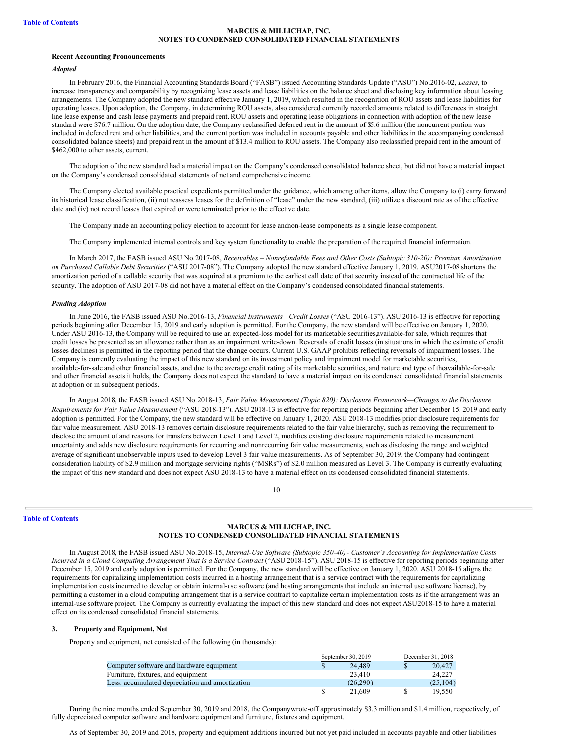## **MARCUS & MILLICHAP, INC. NOTES TO CONDENSED CONSOLIDATED FINANCIAL STATEMENTS**

## **Recent Accounting Pronouncements**

## *Adopted*

In February 2016, the Financial Accounting Standards Board ("FASB") issued Accounting Standards Update ("ASU") No.2016-02, *Leases*, to increase transparency and comparability by recognizing lease assets and lease liabilities on the balance sheet and disclosing key information about leasing arrangements. The Company adopted the new standard effective January 1, 2019, which resulted in the recognition of ROU assets and lease liabilities for operating leases. Upon adoption, the Company, in determining ROU assets, also considered currently recorded amounts related to differences in straight line lease expense and cash lease payments and prepaid rent. ROU assets and operating lease obligations in connection with adoption of the new lease standard were \$76.7 million. On the adoption date, the Company reclassified deferred rent in the amount of \$5.6 million (the noncurrent portion was included in defered rent and other liabilities, and the current portion was included in accounts payable and other liabilities in the accompanying condensed consolidated balance sheets) and prepaid rent in the amount of \$13.4 million to ROU assets. The Company also reclassified prepaid rent in the amount of \$462,000 to other assets, current.

The adoption of the new standard had a material impact on the Company's condensed consolidated balance sheet, but did not have a material impact on the Company's condensed consolidated statements of net and comprehensive income.

The Company elected available practical expedients permitted under the guidance, which among other items, allow the Company to (i) carry forward its historical lease classification, (ii) not reassess leases for the definition of "lease" under the new standard, (iii) utilize a discount rate as of the effective date and (iv) not record leases that expired or were terminated prior to the effective date.

The Company made an accounting policy election to account for lease andnon-lease components as a single lease component.

The Company implemented internal controls and key system functionality to enable the preparation of the required financial information.

In March 2017, the FASB issued ASU No.2017-08, *Receivables – Nonrefundable Fees and Other Costs (Subtopic 310-20): Premium Amortization on Purchased Callable Debt Securities* ("ASU 2017-08"). The Company adopted the new standard effective January 1, 2019. ASU2017-08 shortens the amortization period of a callable security that was acquired at a premium to the earliest call date of that security instead of the contractual life of the security. The adoption of ASU 2017-08 did not have a material effect on the Company's condensed consolidated financial statements.

#### *Pending Adoption*

In June 2016, the FASB issued ASU No.2016-13, *Financial Instruments—Credit Losses* ("ASU 2016-13"). ASU 2016-13 is effective for reporting periods beginning after December 15, 2019 and early adoption is permitted. For the Company, the new standard will be effective on January 1, 2020. Under ASU 2016-13, the Company will be required to use an expected-loss model for its marketable securities,available-for sale, which requires that credit losses be presented as an allowance rather than as an impairment write-down. Reversals of credit losses (in situations in which the estimate of credit losses declines) is permitted in the reporting period that the change occurs. Current U.S. GAAP prohibits reflecting reversals of impairment losses. The Company is currently evaluating the impact of this new standard on its investment policy and impairment model for marketable securities, available-for-sale and other financial assets, and due to the average credit rating of its marketable securities, and nature and type of theavailable-for-sale and other financial assets it holds, the Company does not expect the standard to have a material impact on its condensed consolidated financial statements at adoption or in subsequent periods.

In August 2018, the FASB issued ASU No.2018-13, *Fair Value Measurement (Topic 820): Disclosure Framework—Changes to the Disclosure Requirements for Fair Value Measurement* ("ASU 2018-13"). ASU 2018-13 is effective for reporting periods beginning after December 15, 2019 and early adoption is permitted. For the Company, the new standard will be effective on January 1, 2020. ASU 2018-13 modifies prior disclosure requirements for fair value measurement. ASU 2018-13 removes certain disclosure requirements related to the fair value hierarchy, such as removing the requirement to disclose the amount of and reasons for transfers between Level 1 and Level 2, modifies existing disclosure requirements related to measurement uncertainty and adds new disclosure requirements for recurring and nonrecurring fair value measurements, such as disclosing the range and weighted average of significant unobservable inputs used to develop Level 3 fair value measurements. As of September 30, 2019, the Company had contingent consideration liability of \$2.9 million and mortgage servicing rights ("MSRs") of \$2.0 million measured as Level 3. The Company is currently evaluating the impact of this new standard and does not expect ASU 2018-13 to have a material effect on its condensed consolidated financial statements.

10

## **Table of [Contents](#page-0-0)**

## **MARCUS & MILLICHAP, INC. NOTES TO CONDENSED CONSOLIDATED FINANCIAL STATEMENTS**

In August 2018, the FASB issued ASU No.2018-15, *Internal-Use Software (Subtopic 350-40)- Customer's Accounting for Implementation Costs* Incurred in a Cloud Computing Arrangement That is a Service Contract ("ASU 2018-15"). ASU 2018-15 is effective for reporting periods beginning after December 15, 2019 and early adoption is permitted. For the Company, the new standard will be effective on January 1, 2020. ASU 2018-15 aligns the requirements for capitalizing implementation costs incurred in a hosting arrangement that is a service contract with the requirements for capitalizing implementation costs incurred to develop or obtain internal-use software (and hosting arrangements that include an internal use software license), by permitting a customer in a cloud computing arrangement that is a service contract to capitalize certain implementation costs as if the arrangement was an internal-use software project. The Company is currently evaluating the impact of this new standard and does not expect ASU2018-15 to have a material effect on its condensed consolidated financial statements.

#### **3. Property and Equipment, Net**

Property and equipment, net consisted of the following (in thousands):

|                                                 | September 30, 2019 |  | December 31, 2018 |
|-------------------------------------------------|--------------------|--|-------------------|
| Computer software and hardware equipment        | 24.489             |  | 20,427            |
| Furniture, fixtures, and equipment              | 23.410             |  | 24,227            |
| Less: accumulated depreciation and amortization | (26.290)           |  | (25.104)          |
|                                                 | 21.609             |  | 19.550            |

During the nine months ended September 30, 2019 and 2018, the Companywrote-off approximately \$3.3 million and \$1.4 million, respectively, of fully depreciated computer software and hardware equipment and furniture, fixtures and equipment.

As of September 30, 2019 and 2018, property and equipment additions incurred but not yet paid included in accounts payable and other liabilities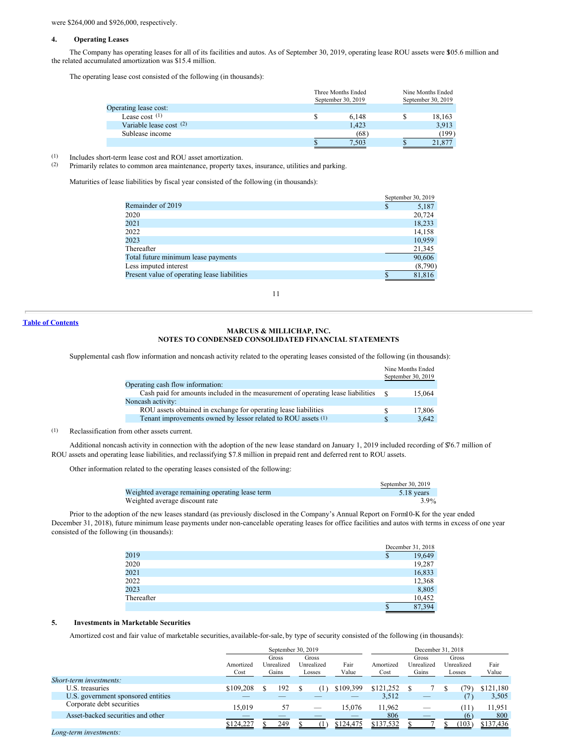## **4. Operating Leases**

The Company has operating leases for all of its facilities and autos. As of September 30, 2019, operating lease ROU assets were \$05.6 million and the related accumulated amortization was \$15.4 million.

The operating lease cost consisted of the following (in thousands):

|                           | Three Months Ended | Nine Months Ended  |        |
|---------------------------|--------------------|--------------------|--------|
|                           | September 30, 2019 | September 30, 2019 |        |
| Operating lease cost:     |                    |                    |        |
| Lease cost $(1)$          | 6.148              | \$                 | 18,163 |
| Variable lease cost $(2)$ | 1.423              |                    | 3,913  |
| Sublease income           | (68)               |                    | (199)  |
|                           | 7.503              |                    |        |

(1) Includes short-term lease cost and ROU asset amortization.

(2) Primarily relates to common area maintenance, property taxes, insurance, utilities and parking.

Maturities of lease liabilities by fiscal year consisted of the following (in thousands):

|                                              | September 30, 2019 |
|----------------------------------------------|--------------------|
| Remainder of 2019                            | \$<br>5,187        |
| 2020                                         | 20.724             |
| 2021                                         | 18,233             |
| 2022                                         | 14,158             |
| 2023                                         | 10,959             |
| Thereafter                                   | 21,345             |
| Total future minimum lease payments          | 90,606             |
| Less imputed interest                        | (8,790)            |
| Present value of operating lease liabilities | 81,816             |

11

**Table of [Contents](#page-0-0)**

## **MARCUS & MILLICHAP, INC. NOTES TO CONDENSED CONSOLIDATED FINANCIAL STATEMENTS**

Supplemental cash flow information and noncash activity related to the operating leases consisted of the following (in thousands):

|                                                                                  | Nine Months Ended<br>September 30, 2019 |
|----------------------------------------------------------------------------------|-----------------------------------------|
| Operating cash flow information:                                                 |                                         |
| Cash paid for amounts included in the measurement of operating lease liabilities | 15,064                                  |
| Noncash activity:                                                                |                                         |
| ROU assets obtained in exchange for operating lease liabilities                  | 17.806                                  |
| Tenant improvements owned by lessor related to ROU assets (1)                    | 3.642                                   |

(1) Reclassification from other assets current.

Additional noncash activity in connection with the adoption of the new lease standard on January 1, 2019 included recording of \$76.7 million of ROU assets and operating lease liabilities, and reclassifying \$7.8 million in prepaid rent and deferred rent to ROU assets.

Other information related to the operating leases consisted of the following:

|                                                 | September 30, 2019 |
|-------------------------------------------------|--------------------|
| Weighted average remaining operating lease term | $5.18$ years       |
| Weighted average discount rate                  | $3.9\%$            |

Prior to the adoption of the new leases standard (as previously disclosed in the Company's Annual Report on Form10-K for the year ended December 31, 2018), future minimum lease payments under non-cancelable operating leases for office facilities and autos with terms in excess of one year consisted of the following (in thousands):

|            | December 31, 2018 |
|------------|-------------------|
| 2019       | 19,649<br>S       |
| 2020       | 19,287            |
| 2021       | 16,833            |
| 2022       | 12,368            |
| 2023       | 8,805             |
| Thereafter | 10,452            |
|            | 87.394<br>P       |

## **5. Investments in Marketable Securities**

Amortized cost and fair value of marketable securities, available-for-sale, by type of security consisted of the following (in thousands):

|                                    | September 30, 2019 |  |                              |  |                               | December 31, 2018 |                   |                              |                               |               |
|------------------------------------|--------------------|--|------------------------------|--|-------------------------------|-------------------|-------------------|------------------------------|-------------------------------|---------------|
|                                    | Amortized<br>Cost  |  | Gross<br>Unrealized<br>Gains |  | Gross<br>Unrealized<br>Losses | Fair<br>Value     | Amortized<br>Cost | Gross<br>Unrealized<br>Gains | Gross<br>Unrealized<br>Losses | Fair<br>Value |
| Short-term investments:            |                    |  |                              |  |                               |                   |                   |                              |                               |               |
| U.S. treasuries                    | \$109,208          |  | 192                          |  | (1)                           | \$109,399         | \$121,252         |                              | 79                            | \$121,180     |
| U.S. government sponsored entities |                    |  |                              |  |                               |                   | 3,512             |                              | (7)                           | 3,505         |
| Corporate debt securities          | 15,019             |  | 57                           |  |                               | 15.076            | 11.962            |                              | '11`                          | 11,951        |
| Asset-backed securities and other  |                    |  |                              |  |                               |                   | 806               |                              | (6)                           | 800           |
|                                    | \$124,227          |  | 249                          |  |                               | \$124,475         | \$137,532         |                              | 103                           | \$137,436     |
| Long-term investments:             |                    |  |                              |  |                               |                   |                   |                              |                               |               |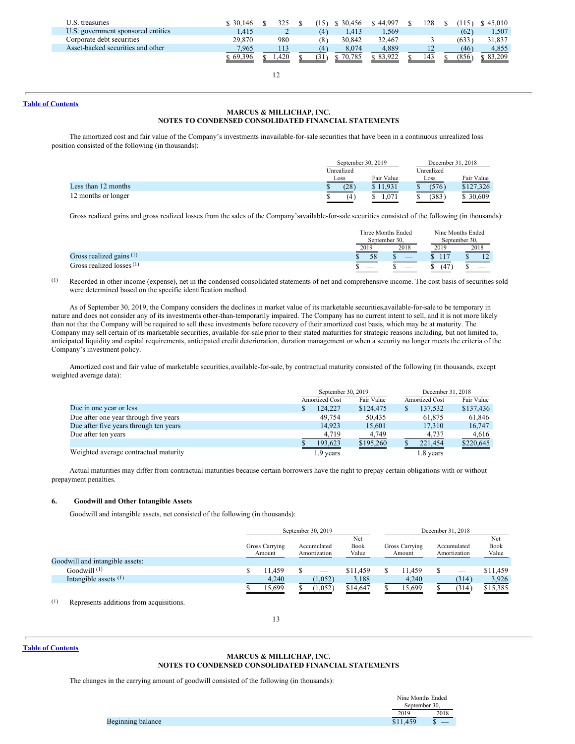| U.S. treasuries                    | \$30.146 |      |      | $(15)$ \$ 30,456 | \$44,997  | 128 | (115) | \$45,010  |
|------------------------------------|----------|------|------|------------------|-----------|-----|-------|-----------|
| U.S. government sponsored entities | 1.415    |      | (4)  | 1.413            | 1,569     | -   | (62)  | 1,507     |
| Corporate debt securities          | 29,870   | 980  | (8)  | 30.842           | 32,467    |     | (633) | 31,837    |
| Asset-backed securities and other  | 7.965    |      | (4)  | 8.074            | 4.889     |     | (46)  | 4.855     |
|                                    | \$69,396 | .420 | 13 I | \$70,785         | \$ 83,922 | 143 | (856) | \$ 83,209 |

## **Table of [Contents](#page-0-0)**

## **MARCUS & MILLICHAP, INC. NOTES TO CONDENSED CONSOLIDATED FINANCIAL STATEMENTS**

The amortized cost and fair value of the Company's investments inavailable-for-sale securities that have been in a continuous unrealized loss position consisted of the following (in thousands):

|                     | September 30, 2019 |            | December 31, 2018 |            |  |  |
|---------------------|--------------------|------------|-------------------|------------|--|--|
|                     | Unrealized         |            | Unrealized        |            |  |  |
|                     | Loss               | Fair Value |                   | Fair Value |  |  |
| Less than 12 months | (28)               | \$11,931   | (576)             | \$127,326  |  |  |
| 12 months or longer | (4)                |            | 383               | \$ 30,609  |  |  |

Gross realized gains and gross realized losses from the sales of the Company'savailable-for-sale securities consisted of the following (in thousands):

|                             |                          | Three Months Ended<br>September 30. | Nine Months Ended<br>September 30. |      |  |
|-----------------------------|--------------------------|-------------------------------------|------------------------------------|------|--|
|                             | 2019                     | 2018                                | 2019                               | 2018 |  |
| Gross realized gains $(1)$  | 58                       |                                     |                                    |      |  |
| Gross realized losses $(1)$ | $\overline{\phantom{a}}$ | $\overline{\phantom{a}}$            | (47)                               | _    |  |

(1) Recorded in other income (expense), net in the condensed consolidated statements of net and comprehensive income. The cost basis of securities sold were determined based on the specific identification method.

As of September 30, 2019, the Company considers the declines in market value of its marketable securities,available-for-sale to be temporary in nature and does not consider any of its investments other-than-temporarily impaired. The Company has no current intent to sell, and it is not more likely than not that the Company will be required to sell these investments before recovery of their amortized cost basis, which may be at maturity. The Company may sell certain of its marketable securities, available-for-sale prior to their stated maturities for strategic reasons including, but not limited to, anticipated liquidity and capital requirements, anticipated credit deterioration, duration management or when a security no longer meets the criteria of the Company's investment policy.

Amortized cost and fair value of marketable securities, available-for-sale, by contractual maturity consisted of the following (in thousands, except weighted average data):

|                                        | September 30, 2019    |            | December 31, 2018 |            |  |  |
|----------------------------------------|-----------------------|------------|-------------------|------------|--|--|
|                                        | <b>Amortized Cost</b> | Fair Value |                   | Fair Value |  |  |
| Due in one year or less                | 124,227               | \$124,475  | 137.532           | \$137,436  |  |  |
| Due after one year through five years  | 49.754                | 50.435     | 61,875            | 61,846     |  |  |
| Due after five years through ten years | 14.923                | 15.601     | 17.310            | 16,747     |  |  |
| Due after ten years                    | 4,719                 | 4,749      | 4,737             | 4,616      |  |  |
|                                        | 193,623               | \$195,260  | 221.454           | \$220,645  |  |  |
| Weighted average contractual maturity  | 1.9 years             |            | 1.8 years         |            |  |  |

Actual maturities may differ from contractual maturities because certain borrowers have the right to prepay certain obligations with or without prepayment penalties.

## **6. Goodwill and Other Intangible Assets**

Goodwill and intangible assets, net consisted of the following (in thousands):

|                                 |  | September 30, 2019       |  |         |          |  |        |             | December 31, 2018 |              |       |                |        |              |  |       |
|---------------------------------|--|--------------------------|--|---------|----------|--|--------|-------------|-------------------|--------------|-------|----------------|--------|--------------|--|-------|
|                                 |  |                          |  |         | Net      |  |        |             |                   | Net          |       |                |        |              |  |       |
|                                 |  | Gross Carrying<br>Amount |  |         |          |  |        | Accumulated |                   |              | Book  | Gross Carrying |        | Accumulated  |  | Book  |
|                                 |  |                          |  |         |          |  |        |             |                   | Amortization | Value |                | Amount | Amortization |  | Value |
| Goodwill and intangible assets: |  |                          |  |         |          |  |        |             |                   |              |       |                |        |              |  |       |
| Goodwill <sup>(1)</sup>         |  | 11.459                   |  | --      | \$11.459 |  | 11.459 |             |                   | \$11,459     |       |                |        |              |  |       |
| Intangible assets $(1)$         |  | 4,240                    |  | (1,052) | 3,188    |  | 4.240  |             | (314)             | 3,926        |       |                |        |              |  |       |
|                                 |  | 15.699                   |  | (1,052) | \$14,647 |  | 15.699 |             | (314)             | \$15,385     |       |                |        |              |  |       |

(1) Represents additions from acquisitions.

## 13

## **Table of [Contents](#page-0-0)**

## **MARCUS & MILLICHAP, INC. NOTES TO CONDENSED CONSOLIDATED FINANCIAL STATEMENTS**

The changes in the carrying amount of goodwill consisted of the following (in thousands):

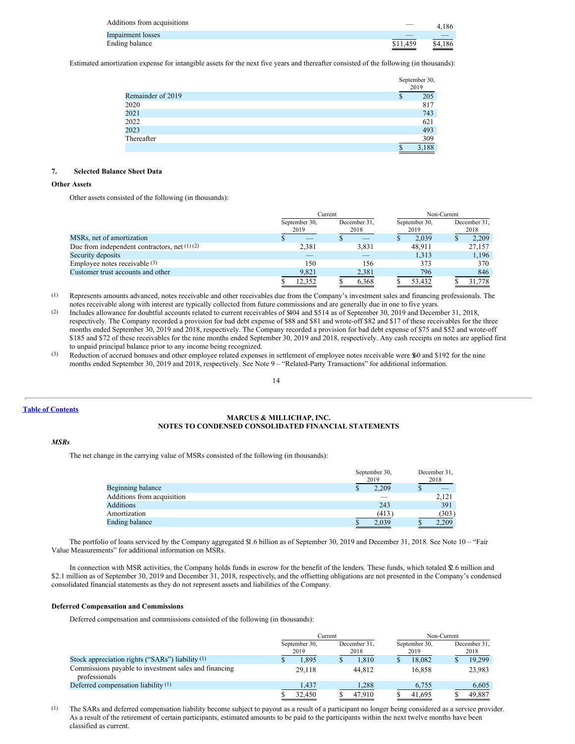| Additions from acquisitions |                  | 4.186                    |
|-----------------------------|------------------|--------------------------|
| Impairment losses           |                  | <b>STATE OF BUILDING</b> |
| Ending balance              | \$11,459<br>$ -$ | \$4,186                  |

Estimated amortization expense for intangible assets for the next five years and thereafter consisted of the following (in thousands):

|                   | September 30, |
|-------------------|---------------|
|                   | 2019          |
| Remainder of 2019 | \$<br>205     |
| 2020              | 817           |
| 2021              | 743           |
| 2022              | 621           |
| 2023              | 493           |
| Thereafter        | 309           |
|                   | \$<br>3,188   |

## **7. Selected Balance Sheet Data**

## **Other Assets**

Other assets consisted of the following (in thousands):

|                                                |                       | Current              | Non-Current |                      |  |  |
|------------------------------------------------|-----------------------|----------------------|-------------|----------------------|--|--|
|                                                | September 30,<br>2019 | December 31,<br>2018 |             | December 31,<br>2018 |  |  |
| MSRs, net of amortization                      | _                     |                      | 2.039       | 2.209                |  |  |
| Due from independent contractors, net $(1)(2)$ | 2.381                 | 3.831                | 48.911      | 27,157               |  |  |
| Security deposits                              |                       |                      | 1,313       | 1.196                |  |  |
| Employee notes receivable $(3)$                | 150                   | 156                  | 373         | 370                  |  |  |
| Customer trust accounts and other              | 9,821                 | 2,381                | 796         | 846                  |  |  |
|                                                | 12,352                | 6,368                | 53.432      | 31.778               |  |  |

(1) Represents amounts advanced, notes receivable and other receivables due from the Company's investment sales and financing professionals. The notes receivable along with interest are typically collected from future commissions and are generally due in one to five years.

(2) Includes allowance for doubtful accounts related to current receivables of \$404 and \$514 as of September 30, 2019 and December 31, 2018, respectively. The Company recorded a provision for bad debt expense of \$88 and \$81 and wrote-off \$82 and \$17 of these receivables for the three months ended September 30, 2019 and 2018, respectively. The Company recorded a provision for bad debt expense of \$75 and \$52 and wrote-off \$185 and \$72 of these receivables for the nine months ended September 30, 2019 and 2018, respectively. Any cash receipts on notes are applied first to unpaid principal balance prior to any income being recognized.

(3) Reduction of accrued bonuses and other employee related expenses in settlement of employee notes receivable were \$60 and \$192 for the nine months ended September 30, 2019 and 2018, respectively. See Note 9 – "Related-Party Transactions" for additional information.

#### 14

## **Table of [Contents](#page-0-0)**

## **MARCUS & MILLICHAP, INC. NOTES TO CONDENSED CONSOLIDATED FINANCIAL STATEMENTS**

## *MSRs*

The net change in the carrying value of MSRs consisted of the following (in thousands):

|                            |   | September 30,<br>2019 | December 31,<br>2018 |       |  |
|----------------------------|---|-----------------------|----------------------|-------|--|
| Beginning balance          | Φ | 2.209                 |                      |       |  |
| Additions from acquisition |   |                       |                      | 2,121 |  |
| <b>Additions</b>           |   | 243                   |                      | 391   |  |
| Amortization               |   | (413)                 |                      | (303) |  |
| <b>Ending balance</b>      |   | 2.039                 |                      | 2.209 |  |

The portfolio of loans serviced by the Company aggregated \$1.6 billion as of September 30, 2019 and December 31, 2018. See Note 10 – "Fair Value Measurements" for additional information on MSRs.

In connection with MSR activities, the Company holds funds in escrow for the benefit of the lenders. These funds, which totaled \$2.6 million and \$2.1 million as of September 30, 2019 and December 31, 2018, respectively, and the offsetting obligations are not presented in the Company's condensed consolidated financial statements as they do not represent assets and liabilities of the Company.

## **Deferred Compensation and Commissions**

Deferred compensation and commissions consisted of the following (in thousands):

|                                                                        |                       | Current | Non-Current           |                      |  |  |
|------------------------------------------------------------------------|-----------------------|---------|-----------------------|----------------------|--|--|
|                                                                        | September 30,<br>2019 |         | September 30,<br>2019 | December 31,<br>2018 |  |  |
| Stock appreciation rights ("SARs") liability $(1)$                     | 1.895                 | 1.810   | 18.082                | 19.299               |  |  |
| Commissions payable to investment sales and financing<br>professionals | 29.118                | 44.812  | 16.858                | 23.983               |  |  |
| Deferred compensation liability $(1)$                                  | 1,437                 | 1,288   | 6.755                 | 6,605                |  |  |
|                                                                        | 32.450                | 47.910  | 41.695                | 49.887               |  |  |

(1) The SARs and deferred compensation liability become subject to payout as a result of a participant no longer being considered as a service provider. As a result of the retirement of certain participants, estimated amounts to be paid to the participants within the next twelve months have been classified as current.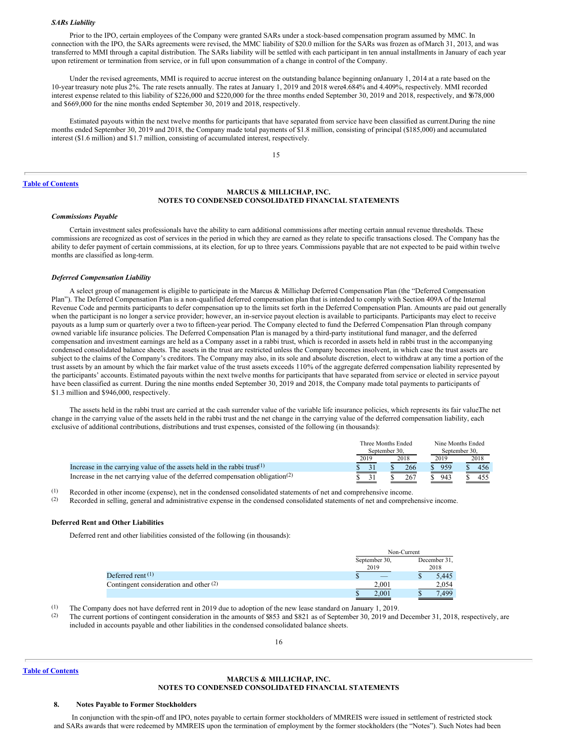#### *SARs Liability*

Prior to the IPO, certain employees of the Company were granted SARs under a stock-based compensation program assumed by MMC. In connection with the IPO, the SARs agreements were revised, the MMC liability of \$20.0 million for the SARs was frozen as ofMarch 31, 2013, and was transferred to MMI through a capital distribution. The SARs liability will be settled with each participant in ten annual installments in January of each year upon retirement or termination from service, or in full upon consummation of a change in control of the Company.

Under the revised agreements, MMI is required to accrue interest on the outstanding balance beginning onJanuary 1, 2014 at a rate based on the 10-year treasury note plus 2%. The rate resets annually. The rates at January 1, 2019 and 2018 were4.684% and 4.409%, respectively. MMI recorded interest expense related to this liability of \$226,000 and \$220,000 for the three months ended September 30, 2019 and 2018, respectively, and \$678,000 and \$669,000 for the nine months ended September 30, 2019 and 2018, respectively.

Estimated payouts within the next twelve months for participants that have separated from service have been classified as current.During the nine months ended September 30, 2019 and 2018, the Company made total payments of \$1.8 million, consisting of principal (\$185,000) and accumulated interest (\$1.6 million) and \$1.7 million, consisting of accumulated interest, respectively.

15

#### **Table of [Contents](#page-0-0)**

## **MARCUS & MILLICHAP, INC. NOTES TO CONDENSED CONSOLIDATED FINANCIAL STATEMENTS**

#### *Commissions Payable*

Certain investment sales professionals have the ability to earn additional commissions after meeting certain annual revenue thresholds. These commissions are recognized as cost of services in the period in which they are earned as they relate to specific transactions closed. The Company has the ability to defer payment of certain commissions, at its election, for up to three years. Commissions payable that are not expected to be paid within twelve months are classified as long-term.

## *Deferred Compensation Liability*

A select group of management is eligible to participate in the Marcus & Millichap Deferred Compensation Plan (the "Deferred Compensation Plan"). The Deferred Compensation Plan is a non-qualified deferred compensation plan that is intended to comply with Section 409A of the Internal Revenue Code and permits participants to defer compensation up to the limits set forth in the Deferred Compensation Plan. Amounts are paid out generally when the participant is no longer a service provider; however, an in-service payout election is available to participants. Participants may elect to receive payouts as a lump sum or quarterly over a two to fifteen-year period. The Company elected to fund the Deferred Compensation Plan through company owned variable life insurance policies. The Deferred Compensation Plan is managed by a third-party institutional fund manager, and the deferred compensation and investment earnings are held as a Company asset in a rabbi trust, which is recorded in assets held in rabbi trust in the accompanying condensed consolidated balance sheets. The assets in the trust are restricted unless the Company becomes insolvent, in which case the trust assets are subject to the claims of the Company's creditors. The Company may also, in its sole and absolute discretion, elect to withdraw at any time a portion of the trust assets by an amount by which the fair market value of the trust assets exceeds 110% of the aggregate deferred compensation liability represented by the participants' accounts. Estimated payouts within the next twelve months for participants that have separated from service or elected in service payout have been classified as current. During the nine months ended September 30, 2019 and 2018, the Company made total payments to participants of \$1.3 million and \$946,000, respectively.

The assets held in the rabbi trust are carried at the cash surrender value of the variable life insurance policies, which represents its fair valueThe net change in the carrying value of the assets held in the rabbi trust and the net change in the carrying value of the deferred compensation liability, each exclusive of additional contributions, distributions and trust expenses, consisted of the following (in thousands):

|                                                                                           |      | Three Months Ended<br>September 30. | Nine Months Ended<br>September 30. |      |  |  |
|-------------------------------------------------------------------------------------------|------|-------------------------------------|------------------------------------|------|--|--|
|                                                                                           | 2019 | 2018                                | 2019                               | 2018 |  |  |
| Increase in the carrying value of the assets held in the rabbi trust <sup>(1)</sup>       |      | 266                                 | 959                                | 456  |  |  |
| Increase in the net carrying value of the deferred compensation obligation <sup>(2)</sup> |      | -267                                | $94^{\circ}$<br>S.                 | 455  |  |  |

(1) Recorded in other income (expense), net in the condensed consolidated statements of net and comprehensive income.<br>(2) Recorded in selling, general and administrative expense in the condensed consolidated statements of

Recorded in selling, general and administrative expense in the condensed consolidated statements of net and comprehensive income.

#### **Deferred Rent and Other Liabilities**

Deferred rent and other liabilities consisted of the following (in thousands):

|                                        |                       | Non-Current |                      |  |  |
|----------------------------------------|-----------------------|-------------|----------------------|--|--|
|                                        | September 30,<br>2019 |             | December 31,<br>2018 |  |  |
| Deferred rent $(1)$                    | $-$                   |             | 5.445                |  |  |
| Contingent consideration and other (2) | 2.001                 |             | 2.054                |  |  |
|                                        | 2.001                 |             | 7.499                |  |  |

(1) The Company does not have deferred rent in 2019 due to adoption of the new lease standard on January 1, 2019.<br>(2) The current portions of contingent consideration in the amounts of \$853 and \$821 as of Sentember 30, 201

The current portions of contingent consideration in the amounts of \$853 and \$821 as of September 30, 2019 and December 31, 2018, respectively, are included in accounts payable and other liabilities in the condensed consolidated balance sheets.

## **Table of [Contents](#page-0-0)**

## **MARCUS & MILLICHAP, INC. NOTES TO CONDENSED CONSOLIDATED FINANCIAL STATEMENTS**

#### **8. Notes Payable to Former Stockholders**

In conjunction with the spin-off and IPO, notes payable to certain former stockholders of MMREIS were issued in settlement of restricted stock and SARs awards that were redeemed by MMREIS upon the termination of employment by the former stockholders (the "Notes"). Such Notes had been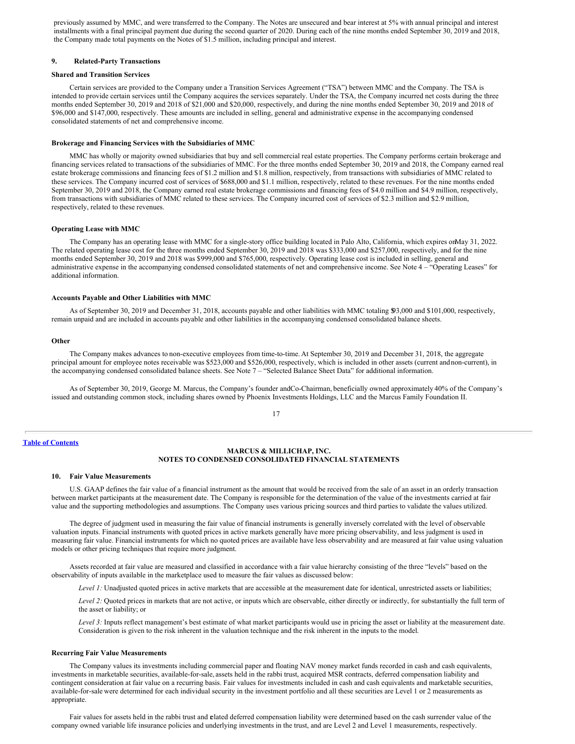previously assumed by MMC, and were transferred to the Company. The Notes are unsecured and bear interest at 5% with annual principal and interest installments with a final principal payment due during the second quarter of 2020. During each of the nine months ended September 30, 2019 and 2018, the Company made total payments on the Notes of \$1.5 million, including principal and interest.

## **9. Related-Party Transactions**

#### **Shared and Transition Services**

Certain services are provided to the Company under a Transition Services Agreement ("TSA") between MMC and the Company. The TSA is intended to provide certain services until the Company acquires the services separately. Under the TSA, the Company incurred net costs during the three months ended September 30, 2019 and 2018 of \$21,000 and \$20,000, respectively, and during the nine months ended September 30, 2019 and 2018 of \$96,000 and \$147,000, respectively. These amounts are included in selling, general and administrative expense in the accompanying condensed consolidated statements of net and comprehensive income.

## **Brokerage and Financing Services with the Subsidiaries of MMC**

MMC has wholly or majority owned subsidiaries that buy and sell commercial real estate properties. The Company performs certain brokerage and financing services related to transactions of the subsidiaries of MMC. For the three months ended September 30, 2019 and 2018, the Company earned real estate brokerage commissions and financing fees of \$1.2 million and \$1.8 million, respectively, from transactions with subsidiaries of MMC related to these services. The Company incurred cost of services of \$688,000 and \$1.1 million, respectively, related to these revenues. For the nine months ended September 30, 2019 and 2018, the Company earned real estate brokerage commissions and financing fees of \$4.0 million and \$4.9 million, respectively, from transactions with subsidiaries of MMC related to these services. The Company incurred cost of services of \$2.3 million and \$2.9 million, respectively, related to these revenues.

#### **Operating Lease with MMC**

The Company has an operating lease with MMC for a single-story office building located in Palo Alto, California, which expires onMay 31, 2022. The related operating lease cost for the three months ended September 30, 2019 and 2018 was \$333,000 and \$257,000, respectively, and for the nine months ended September 30, 2019 and 2018 was \$999,000 and \$765,000, respectively. Operating lease cost is included in selling, general and administrative expense in the accompanying condensed consolidated statements of net and comprehensive income. See Note 4 – "Operating Leases" for additional information.

#### **Accounts Payable and Other Liabilities with MMC**

As of September 30, 2019 and December 31, 2018, accounts payable and other liabilities with MMC totaling \$93,000 and \$101,000, respectively, remain unpaid and are included in accounts payable and other liabilities in the accompanying condensed consolidated balance sheets.

## **Other**

The Company makes advances to non-executive employees from time-to-time. At September 30, 2019 and December 31, 2018, the aggregate principal amount for employee notes receivable was \$523,000 and \$526,000, respectively, which is included in other assets (current andnon-current), in the accompanying condensed consolidated balance sheets. See Note 7 – "Selected Balance Sheet Data" for additional information.

As of September 30, 2019, George M. Marcus, the Company's founder andCo-Chairman, beneficially owned approximately 40% of the Company's issued and outstanding common stock, including shares owned by Phoenix Investments Holdings, LLC and the Marcus Family Foundation II.

#### 17

## **Table of [Contents](#page-0-0)**

## **MARCUS & MILLICHAP, INC. NOTES TO CONDENSED CONSOLIDATED FINANCIAL STATEMENTS**

#### **10. Fair Value Measurements**

U.S. GAAP defines the fair value of a financial instrument as the amount that would be received from the sale of an asset in an orderly transaction between market participants at the measurement date. The Company is responsible for the determination of the value of the investments carried at fair value and the supporting methodologies and assumptions. The Company uses various pricing sources and third parties to validate the values utilized.

The degree of judgment used in measuring the fair value of financial instruments is generally inversely correlated with the level of observable valuation inputs. Financial instruments with quoted prices in active markets generally have more pricing observability, and less judgment is used in measuring fair value. Financial instruments for which no quoted prices are available have less observability and are measured at fair value using valuation models or other pricing techniques that require more judgment.

Assets recorded at fair value are measured and classified in accordance with a fair value hierarchy consisting of the three "levels" based on the observability of inputs available in the marketplace used to measure the fair values as discussed below:

*Level 1:* Unadjusted quoted prices in active markets that are accessible at the measurement date for identical, unrestricted assets or liabilities;

*Level 2:* Quoted prices in markets that are not active, or inputs which are observable, either directly or indirectly, for substantially the full term of the asset or liability; or

*Level* 3: Inputs reflect management's best estimate of what market participants would use in pricing the asset or liability at the measurement date. Consideration is given to the risk inherent in the valuation technique and the risk inherent in the inputs to the model.

#### **Recurring Fair Value Measurements**

The Company values its investments including commercial paper and floating NAV money market funds recorded in cash and cash equivalents, investments in marketable securities, available-for-sale, assets held in the rabbi trust, acquired MSR contracts, deferred compensation liability and contingent consideration at fair value on a recurring basis. Fair values for investments included in cash and cash equivalents and marketable securities, available-for-sale were determined for each individual security in the investment portfolio and all these securities are Level 1 or 2 measurements as appropriate.

Fair values for assets held in the rabbi trust and elated deferred compensation liability were determined based on the cash surrender value of the company owned variable life insurance policies and underlying investments in the trust, and are Level 2 and Level 1 measurements, respectively.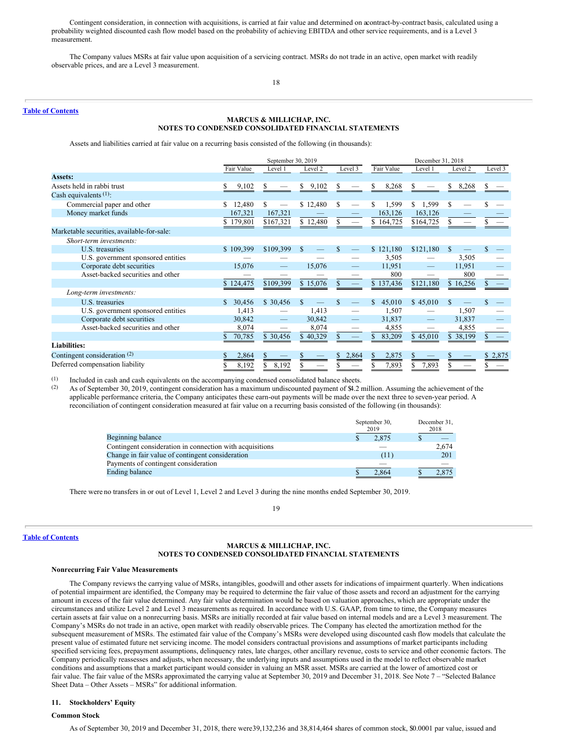Contingent consideration, in connection with acquisitions, is carried at fair value and determined on acontract-by-contract basis, calculated using a probability weighted discounted cash flow model based on the probability of achieving EBITDA and other service requirements, and is a Level 3 measurement.

The Company values MSRs at fair value upon acquisition of a servicing contract. MSRs do not trade in an active, open market with readily observable prices, and are a Level 3 measurement.

#### **Table of [Contents](#page-0-0)**

## **MARCUS & MILLICHAP, INC. NOTES TO CONDENSED CONSOLIDATED FINANCIAL STATEMENTS**

Assets and liabilities carried at fair value on a recurring basis consisted of the following (in thousands):

|                                            | September 30, 2019 |           |             |         | December 31, 2018 |             |            |         |
|--------------------------------------------|--------------------|-----------|-------------|---------|-------------------|-------------|------------|---------|
|                                            | Fair Value         | Level 1   | Level 2     | Level 3 | Fair Value        | Level 1     | Level 2    | Level 3 |
| Assets:                                    |                    |           |             |         |                   |             |            |         |
| Assets held in rabbi trust                 | 9,102<br>S         | S         | 9,102<br>S. |         | 8,268<br>S        | S           | 8,268<br>S |         |
| Cash equivalents $(1)$ :                   |                    |           |             |         |                   |             |            |         |
| Commercial paper and other                 | 12,480             | S.        | \$12,480    |         | S<br>1,599        | 1,599<br>S. |            |         |
| Money market funds                         | 167,321            | 167,321   |             |         | 163,126           | 163,126     |            |         |
|                                            | \$179,801          | \$167,321 | \$12,480    |         | \$164,725         | \$164,725   |            |         |
| Marketable securities, available-for-sale: |                    |           |             |         |                   |             |            |         |
| Short-term investments:                    |                    |           |             |         |                   |             |            |         |
| U.S. treasuries                            | \$109,399          | \$109,399 | S.          |         | \$121,180         | \$121,180   | \$.        |         |
| U.S. government sponsored entities         |                    |           |             |         | 3,505             |             | 3,505      |         |
| Corporate debt securities                  | 15,076             |           | 15,076      |         | 11,951            |             | 11,951     |         |
| Asset-backed securities and other          |                    |           |             |         | 800               |             | 800        |         |
|                                            | \$124,475          | \$109,399 | \$15,076    |         | \$137,436         | \$121,180   | \$16,256   |         |
| Long-term investments:                     |                    |           |             |         |                   |             |            |         |
| U.S. treasuries                            | 30,456<br>S.       | \$ 30,456 |             |         | S<br>45,010       | \$45,010    |            |         |
| U.S. government sponsored entities         | 1,413              |           | 1,413       |         | 1,507             |             | 1,507      |         |
| Corporate debt securities                  | 30,842             |           | 30,842      |         | 31,837            |             | 31,837     |         |
| Asset-backed securities and other          | 8,074              |           | 8,074       |         | 4,855             |             | 4,855      |         |
|                                            | 70,785             | \$ 30,456 | \$40,329    |         | 83,209            | \$45,010    | \$38,199   |         |
| <b>Liabilities:</b>                        |                    |           |             |         |                   |             |            |         |
| Contingent consideration <sup>(2)</sup>    | 2,864              |           |             | 2,864   | 2,875<br>S        |             |            | \$2,875 |
| Deferred compensation liability            | 8,192              | 8,192     |             |         | 7,893             | 7,893       |            |         |

(1) Included in cash and cash equivalents on the accompanying condensed consolidated balance sheets.<br>(2) As of Santamber 30, 2010, contingent consideration has a maximum undiscounted naument of \$1.2 i

As of September 30, 2019, contingent consideration has a maximum undiscounted payment of \$4.2 million. Assuming the achievement of the applicable performance criteria, the Company anticipates these earn-out payments will be made over the next three to seven-year period. A reconciliation of contingent consideration measured at fair value on a recurring basis consisted of the following (in thousands):

|                                                          | September 30,<br>2019 |       | December 31.<br>2018 |
|----------------------------------------------------------|-----------------------|-------|----------------------|
| Beginning balance                                        |                       | 2.875 |                      |
| Contingent consideration in connection with acquisitions |                       |       | 2,674                |
| Change in fair value of contingent consideration         |                       | (11)  | 201                  |
| Payments of contingent consideration                     |                       |       |                      |
| <b>Ending balance</b>                                    |                       | 2.864 | 2.875                |

There were no transfers in or out of Level 1, Level 2 and Level 3 during the nine months ended September 30, 2019.

## 19

## **Table of [Contents](#page-0-0)**

## **MARCUS & MILLICHAP, INC. NOTES TO CONDENSED CONSOLIDATED FINANCIAL STATEMENTS**

#### **Nonrecurring Fair Value Measurements**

The Company reviews the carrying value of MSRs, intangibles, goodwill and other assets for indications of impairment quarterly. When indications of potential impairment are identified, the Company may be required to determine the fair value of those assets and record an adjustment for the carrying amount in excess of the fair value determined. Any fair value determination would be based on valuation approaches, which are appropriate under the circumstances and utilize Level 2 and Level 3 measurements as required. In accordance with U.S. GAAP, from time to time, the Company measures certain assets at fair value on a nonrecurring basis. MSRs are initially recorded at fair value based on internal models and are a Level 3 measurement. The Company's MSRs do not trade in an active, open market with readily observable prices. The Company has elected the amortization method for the subsequent measurement of MSRs. The estimated fair value of the Company's MSRs were developed using discounted cash flow models that calculate the present value of estimated future net servicing income. The model considers contractual provisions and assumptions of market participants including specified servicing fees, prepayment assumptions, delinquency rates, late charges, other ancillary revenue, costs to service and other economic factors. The Company periodically reassesses and adjusts, when necessary, the underlying inputs and assumptions used in the model to reflect observable market conditions and assumptions that a market participant would consider in valuing an MSR asset. MSRs are carried at the lower of amortized cost or fair value. The fair value of the MSRs approximated the carrying value at September 30, 2019 and December 31, 2018. See Note 7 – "Selected Balance Sheet Data – Other Assets – MSRs" for additional information.

## **11. Stockholders' Equity**

## **Common Stock**

As of September 30, 2019 and December 31, 2018, there were39,132,236 and 38,814,464 shares of common stock, \$0.0001 par value, issued and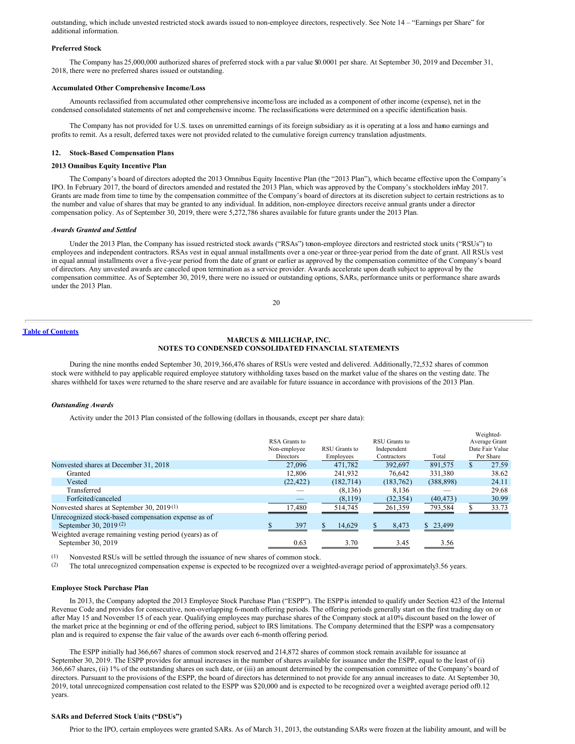outstanding, which include unvested restricted stock awards issued to non-employee directors, respectively. See Note 14 – "Earnings per Share" for additional information.

#### **Preferred Stock**

The Company has 25,000,000 authorized shares of preferred stock with a par value \$0.0001 per share. At September 30, 2019 and December 31, 2018, there were no preferred shares issued or outstanding.

#### **Accumulated Other Comprehensive Income/Loss**

Amounts reclassified from accumulated other comprehensive income/loss are included as a component of other income (expense), net in the condensed consolidated statements of net and comprehensive income. The reclassifications were determined on a specific identification basis.

The Company has not provided for U.S. taxes on unremitted earnings of its foreign subsidiary as it is operating at a loss and hasno earnings and profits to remit. As a result, deferred taxes were not provided related to the cumulative foreign currency translation adjustments.

#### **12. Stock-Based Compensation Plans**

## **2013 Omnibus Equity Incentive Plan**

The Company's board of directors adopted the 2013 Omnibus Equity Incentive Plan (the "2013 Plan"), which became effective upon the Company's IPO. In February 2017, the board of directors amended and restated the 2013 Plan, which was approved by the Company's stockholders inMay 2017. Grants are made from time to time by the compensation committee of the Company's board of directors at its discretion subject to certain restrictions as to the number and value of shares that may be granted to any individual. In addition, non-employee directors receive annual grants under a director compensation policy. As of September 30, 2019, there were 5,272,786 shares available for future grants under the 2013 Plan.

#### *Awards Granted and Settled*

Under the 2013 Plan, the Company has issued restricted stock awards ("RSAs") tonon-employee directors and restricted stock units ("RSUs") to employees and independent contractors. RSAs vest in equal annual installments over a one-year or three-year period from the date of grant. All RSUs vest in equal annual installments over a five-year period from the date of grant or earlier as approved by the compensation committee of the Company's board of directors. Any unvested awards are canceled upon termination as a service provider. Awards accelerate upon death subject to approval by the compensation committee. As of September 30, 2019, there were no issued or outstanding options, SARs, performance units or performance share awards under the 2013 Plan.

20

## **Table of [Contents](#page-0-0)**

## **MARCUS & MILLICHAP, INC. NOTES TO CONDENSED CONSOLIDATED FINANCIAL STATEMENTS**

During the nine months ended September 30, 2019,366,476 shares of RSUs were vested and delivered. Additionally,72,532 shares of common stock were withheld to pay applicable required employee statutory withholding taxes based on the market value of the shares on the vesting date. The shares withheld for taxes were returned to the share reserve and are available for future issuance in accordance with provisions of the 2013 Plan.

#### *Outstanding Awards*

Activity under the 2013 Plan consisted of the following (dollars in thousands, except per share data):

|                                                         |                      |                      |               |            |    | weighted-       |
|---------------------------------------------------------|----------------------|----------------------|---------------|------------|----|-----------------|
|                                                         | <b>RSA</b> Grants to |                      | RSU Grants to |            |    | Average Grant   |
|                                                         | Non-employee         | <b>RSU</b> Grants to | Independent   |            |    | Date Fair Value |
|                                                         | Directors            | Employees            | Contractors   | Total      |    | Per Share       |
| Nonvested shares at December 31, 2018                   | 27,096               | 471,782              | 392,697       | 891.575    | Ъ. | 27.59           |
| Granted                                                 | 12,806               | 241,932              | 76.642        | 331,380    |    | 38.62           |
| Vested                                                  | (22, 422)            | (182, 714)           | (183, 762)    | (388, 898) |    | 24.11           |
| Transferred                                             |                      | (8,136)              | 8,136         |            |    | 29.68           |
| Forfeited/canceled                                      |                      | (8,119)              | (32, 354)     | (40, 473)  |    | 30.99           |
| Nonvested shares at September 30, 2019 <sup>(1)</sup>   | 17,480               | 514,745              | 261,359       | 793,584    |    | 33.73           |
| Unrecognized stock-based compensation expense as of     |                      |                      |               |            |    |                 |
| September 30, 2019 (2)                                  | 397                  | 14,629               | 8,473         | \$23,499   |    |                 |
| Weighted average remaining vesting period (years) as of |                      |                      |               |            |    |                 |
| September 30, 2019                                      | 0.63                 | 3.70                 | 3.45          | 3.56       |    |                 |
|                                                         |                      |                      |               |            |    |                 |

Weighted-

(1) Nonvested RSUs will be settled through the issuance of new shares of common stock.

(2) The total unrecognized compensation expense is expected to be recognized over a weighted-average period of approximately3.56 years.

## **Employee Stock Purchase Plan**

In 2013, the Company adopted the 2013 Employee Stock Purchase Plan ("ESPP"). The ESPPis intended to qualify under Section 423 of the Internal Revenue Code and provides for consecutive, non-overlapping 6-month offering periods. The offering periods generally start on the first trading day on or after May 15 and November 15 of each year. Qualifying employees may purchase shares of the Company stock at a10% discount based on the lower of the market price at the beginning or end of the offering period, subject to IRS limitations. The Company determined that the ESPP was a compensatory plan and is required to expense the fair value of the awards over each 6-month offering period.

The ESPP initially had 366,667 shares of common stock reserved, and 214,872 shares of common stock remain available for issuance at September 30, 2019. The ESPP provides for annual increases in the number of shares available for issuance under the ESPP, equal to the least of (i) 366,667 shares, (ii) 1% of the outstanding shares on such date, or (iii) an amount determined by the compensation committee of the Company's board of directors. Pursuant to the provisions of the ESPP, the board of directors has determined to not provide for any annual increases to date. At September 30, 2019, total unrecognized compensation cost related to the ESPP was \$20,000 and is expected to be recognized over a weighted average period of0.12 years.

#### **SARs and Deferred Stock Units ("DSUs")**

Prior to the IPO, certain employees were granted SARs. As of March 31, 2013, the outstanding SARs were frozen at the liability amount, and will be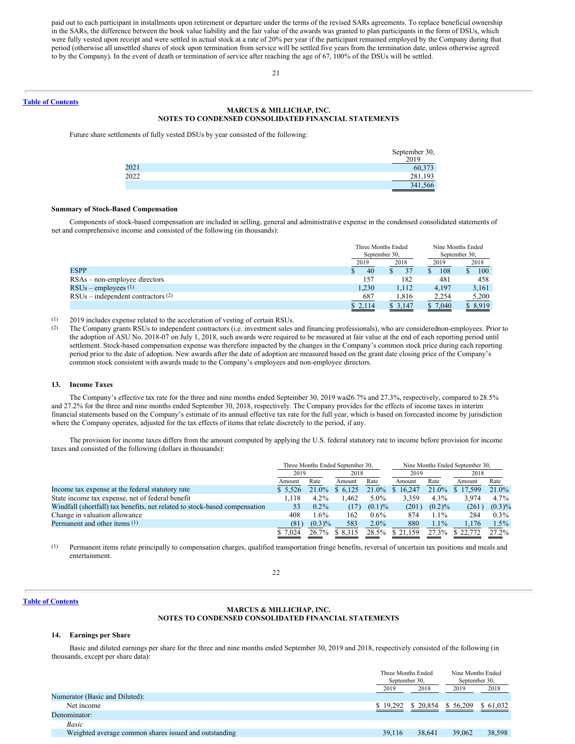paid out to each participant in installments upon retirement or departure under the terms of the revised SARs agreements. To replace beneficial ownership in the SARs, the difference between the book value liability and the fair value of the awards was granted to plan participants in the form of DSUs, which were fully vested upon receipt and were settled in actual stock at a rate of 20% per year if the participant remained employed by the Company during that period (otherwise all unsettled shares of stock upon termination from service will be settled five yearsfrom the termination date, unless otherwise agreed to by the Company). In the event of death or termination of service after reaching the age of 67, 100% of the DSUs will be settled.

## **Table of [Contents](#page-0-0)**

## **MARCUS & MILLICHAP, INC. NOTES TO CONDENSED CONSOLIDATED FINANCIAL STATEMENTS**

Future share settlements of fully vested DSUs by year consisted of the following:

|      | September 30,<br>2019 |
|------|-----------------------|
| 2021 | 60.373                |
|      |                       |
| 2022 | 281,193               |
|      | 341,566               |
|      |                       |

#### **Summary of Stock-Based Compensation**

Components of stock-based compensation are included in selling, general and administrative expense in the condensed consolidated statements of net and comprehensive income and consisted of the following (in thousands):

|                                        |         | Three Months Ended | Nine Months Ended<br>September 30, |           |  |
|----------------------------------------|---------|--------------------|------------------------------------|-----------|--|
|                                        |         | September 30.      |                                    |           |  |
|                                        | 2019    | 2018               |                                    | 2018      |  |
| <b>ESPP</b>                            | 40      |                    | 108                                | 100<br>\$ |  |
| RSAs – non-employee directors          | 157     | 182                | 481                                | 458       |  |
| $RSUs$ – employees $(1)$               | 1.230   | 1.112              | 4.197                              | 3,161     |  |
| $RSUs$ – independent contractors $(2)$ | 687     | 1,816              | 2,254                              | 5,200     |  |
|                                        | \$2,114 | \$3,147            | \$ 7,040                           | \$8,919   |  |
|                                        |         |                    |                                    |           |  |

(1) 2019 includes expense related to the acceleration of vesting of certain RSUs.

(2) The Company grants RSUs to independent contractors (i.e. investment sales and financing professionals), who are considerednon-employees. Prior to the adoption of ASU No. 2018-07 on July 1, 2018, such awards were required to be measured at fair value at the end of each reporting period until settlement. Stock-based compensation expense was therefore impacted by the changes in the Company's common stock price during each reporting period prior to the date of adoption. New awards after the date of adoption are measured based on the grant date closing price of the Company's common stock consistent with awards made to the Company's employees and non-employee directors.

## **13. Income Taxes**

The Company's effective tax rate for the three and nine months ended September 30, 2019 was26.7% and 27.3%, respectively, compared to 28.5% and 27.2% for the three and nine months ended September 30, 2018, respectively. The Company provides for the effects of income taxes in interim financial statements based on the Company's estimate of its annual effective tax rate for the full year, which is based on forecasted income by jurisdiction where the Company operates, adjusted for the tax effects of items that relate discretely to the period, if any.

The provision for income taxes differs from the amount computed by applying the U.S. federal statutory rate to income before provision for income taxes and consisted of the following (dollars in thousands):

| Three Months Ended September 30, |          |          |           | Nine Months Ended September 30, |         |        |                    |
|----------------------------------|----------|----------|-----------|---------------------------------|---------|--------|--------------------|
| 2019                             |          | 2018     |           | 2019                            |         | 2018   |                    |
| Amount                           | Rate     | Amount   | Rate      | Amount                          | Rate    | Amount | Rate               |
| \$5.526                          | $21.0\%$ | \$6.125  | 21.0%     | 16.247<br>S.                    | 21.0%   |        | 21.0%              |
| 1.118                            | $4.2\%$  | .462     | $5.0\%$   | 3.359                           | $4.3\%$ | 3.974  | $4.7\%$            |
| 53                               | $0.2\%$  | (17)     | (0.1)%    | (201)                           |         | (261)  | $(0.3)\%$          |
| 408                              | $.6\%$   | 162      | $0.6\%$   | 874                             | $1.1\%$ | 284    | $0.3\%$            |
| (81)                             |          | 583      | $2.0\%$   | 880                             | $1.1\%$ | 1.176  | $1.5\%$            |
| \$7.024                          | 26.7%    | \$ 8.315 | 28.5%     | \$21.159                        | 27.3%   | 22,772 | $27.2\%$           |
|                                  |          |          | $(0.3)\%$ |                                 |         |        | \$17.599<br>(0.2)% |

(1) Permanent items relate principally to compensation charges, qualified transportation fringe benefits, reversal of uncertain tax positions and meals and entertainment.

## 22

#### **Table of [Contents](#page-0-0)**

## **MARCUS & MILLICHAP, INC. NOTES TO CONDENSED CONSOLIDATED FINANCIAL STATEMENTS**

## **14. Earnings per Share**

Basic and diluted earnings per share for the three and nine months ended September 30, 2019 and 2018, respectively consisted of the following (in thousands, except per share data):

|                                                       | Three Months Ended<br>September 30, |          | Nine Months Ended<br>September 30, |          |
|-------------------------------------------------------|-------------------------------------|----------|------------------------------------|----------|
|                                                       | 2019                                | 2018     | 2019                               | 2018     |
| Numerator (Basic and Diluted):                        |                                     |          |                                    |          |
| Net income                                            | \$19,292                            | \$20,854 | \$56.209                           | \$61,032 |
| Denominator:                                          |                                     |          |                                    |          |
| Basic                                                 |                                     |          |                                    |          |
| Weighted average common shares issued and outstanding | 39.116                              | 38.641   | 39,062                             | 38,598   |
|                                                       |                                     |          |                                    |          |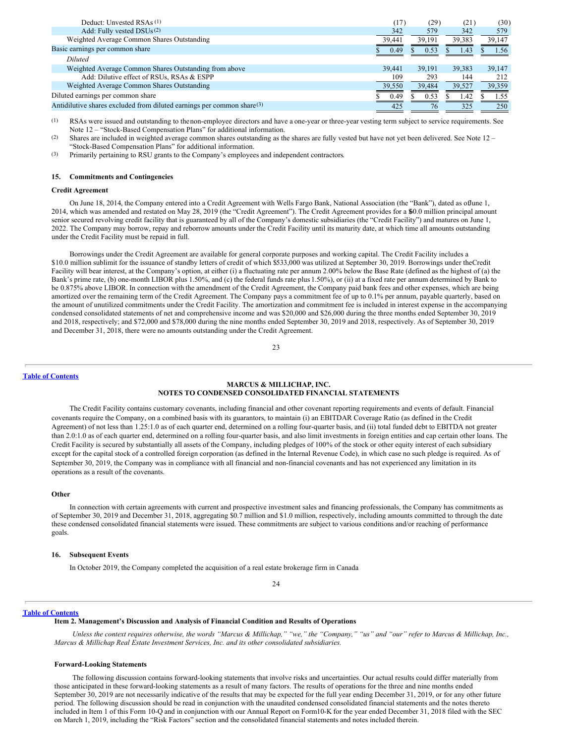| (30)<br>(17<br>(29)<br>(21)                                                                       |
|---------------------------------------------------------------------------------------------------|
| 579<br>342<br>579<br>342                                                                          |
| Weighted Average Common Shares Outstanding<br>39,147<br>39.191<br>39,383<br>39,441                |
| 0.53<br>0.49<br>1.43<br>1.56                                                                      |
|                                                                                                   |
| Weighted Average Common Shares Outstanding from above<br>39,147<br>39.441<br>39.191<br>39.383     |
| Add: Dilutive effect of RSUs, RSAs & ESPP<br>293<br>109<br>144<br>212                             |
| Weighted Average Common Shares Outstanding<br>39,359<br>39.484<br>39,550<br>39.527                |
| 0.53<br>1.55<br>0.49<br>1.42                                                                      |
| Antidilutive shares excluded from diluted earnings per common share(3)<br>425<br>325<br>250<br>76 |
|                                                                                                   |

(1) RSAs were issued and outstanding to thenon-employee directors and have a one-year or three-year vesting term subject to service requirements. See Note 12 – "Stock-Based Compensation Plans" for additional information.

(2) Shares are included in weighted average common shares outstanding as the shares are fully vested but have not yet been delivered. See Note  $12$  – "Stock-Based Compensation Plans" for additional information.

(3) Primarily pertaining to RSU grants to the Company's employees and independent contractors.

## **15. Commitments and Contingencies**

## **Credit Agreement**

On June 18, 2014, the Company entered into a Credit Agreement with Wells Fargo Bank, National Association (the "Bank"), dated as ofJune 1, 2014, which was amended and restated on May 28, 2019 (the "Credit Agreement"). The Credit Agreement provides for a \$60.0 million principal amount senior secured revolving credit facility that is guaranteed by all of the Company's domestic subsidiaries (the "Credit Facility") and matures on June 1, 2022. The Company may borrow, repay and reborrow amounts under the Credit Facility until its maturity date, at which time all amounts outstanding under the Credit Facility must be repaid in full.

Borrowings under the Credit Agreement are available for general corporate purposes and working capital. The Credit Facility includes a \$10.0 million sublimit for the issuance of standby letters of credit of which \$533,000 was utilized at September 30, 2019. Borrowings under theCredit Facility will bear interest, at the Company's option, at either (i) a fluctuating rate per annum 2.00% below the Base Rate (defined as the highest of (a) the Bank's prime rate, (b) one-month LIBOR plus 1.50%, and (c) the federal funds rate plus 1.50%), or (ii) at a fixed rate per annum determined by Bank to be 0.875% above LIBOR. In connection with the amendment of the Credit Agreement, the Company paid bank fees and other expenses, which are being amortized over the remaining term of the Credit Agreement. The Company pays a commitment fee of up to 0.1% per annum, payable quarterly, based on the amount of unutilized commitments under the Credit Facility. The amortization and commitment fee is included in interest expense in the accompanying condensed consolidated statements of net and comprehensive income and was \$20,000 and \$26,000 during the three months ended September 30, 2019 and 2018, respectively; and \$72,000 and \$78,000 during the nine months ended September 30, 2019 and 2018, respectively. As of September 30, 2019 and December 31, 2018, there were no amounts outstanding under the Credit Agreement.

23

## **Table of [Contents](#page-0-0)**

## **MARCUS & MILLICHAP, INC. NOTES TO CONDENSED CONSOLIDATED FINANCIAL STATEMENTS**

The Credit Facility contains customary covenants, including financial and other covenant reporting requirements and events of default. Financial covenants require the Company, on a combined basis with its guarantors, to maintain (i) an EBITDAR Coverage Ratio (as defined in the Credit Agreement) of not less than 1.25:1.0 as of each quarter end, determined on a rolling four-quarter basis, and (ii) total funded debt to EBITDA not greater than 2.0:1.0 as of each quarter end, determined on a rolling four-quarter basis, and also limit investments in foreign entities and cap certain other loans. The Credit Facility is secured by substantially all assets of the Company, including pledges of 100% of the stock or other equity interest of each subsidiary except for the capital stock of a controlled foreign corporation (as defined in the Internal Revenue Code), in which case no such pledge is required. As of September 30, 2019, the Company was in compliance with all financial and non-financial covenants and has not experienced any limitation in its operations as a result of the covenants.

## **Other**

In connection with certain agreements with current and prospective investment sales and financing professionals, the Company has commitments as of September 30, 2019 and December 31, 2018, aggregating \$0.7 million and \$1.0 million, respectively, including amounts committed to through the date these condensed consolidated financial statements were issued. These commitments are subject to various conditions and/or reaching of performance goals.

#### **16. Subsequent Events**

In October 2019, the Company completed the acquisition of a real estate brokerage firm in Canada.

 $24$ 

#### **Table of [Contents](#page-0-0)**

## <span id="page-15-0"></span>**Item 2. Management's Discussion and Analysis of Financial Condition and Results of Operations**

Unless the context requires otherwise, the words "Marcus & Millichap," "we," the "Company," "us" and "our" refer to Marcus & Millichap, Inc., *Marcus & Millichap Real Estate Investment Services, Inc. and its other consolidated subsidiaries.*

## **Forward-Looking Statements**

The following discussion contains forward-looking statements that involve risks and uncertainties. Our actual results could differ materially from those anticipated in these forward-looking statements as a result of many factors. The results of operations for the three and nine months ended September 30, 2019 are not necessarily indicative of the results that may be expected for the full year ending December 31, 2019, or for any other future period. The following discussion should be read in conjunction with the unaudited condensed consolidated financial statements and the notes thereto included in Item 1 of this Form 10-Q and in conjunction with our Annual Report on Form10-K for the year ended December 31, 2018 filed with the SEC on March 1, 2019, including the "Risk Factors" section and the consolidated financial statements and notes included therein.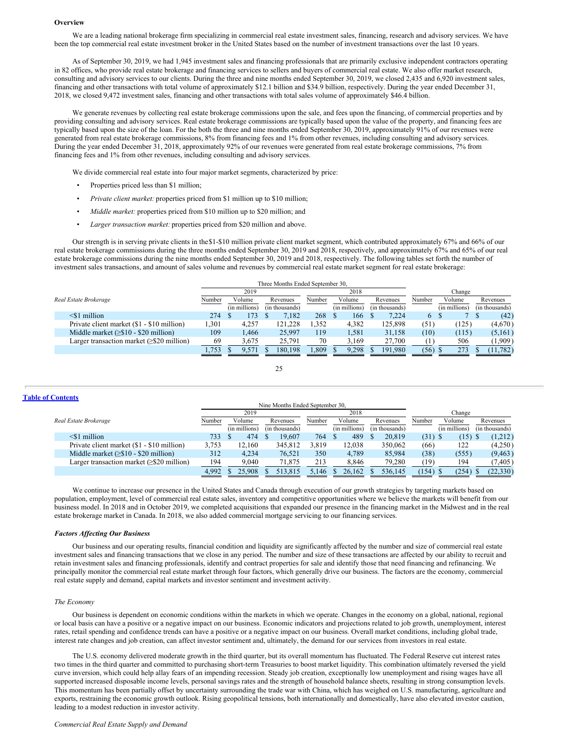#### **Overview**

We are a leading national brokerage firm specializing in commercial real estate investment sales, financing, research and advisory services. We have been the top commercial real estate investment broker in the United States based on the number of investment transactions over the last 10 years.

As of September 30, 2019, we had 1,945 investment sales and financing professionals that are primarily exclusive independent contractors operating in 82 offices, who provide real estate brokerage and financing services to sellers and buyers of commercial real estate. We also offer market research, consulting and advisory services to our clients. During the three and nine months ended September 30, 2019, we closed 2,435 and 6,920 investment sales, financing and other transactions with total volume of approximately \$12.1 billion and \$34.9 billion, respectively. During the year ended December 31, 2018, we closed 9,472 investment sales, financing and other transactions with total sales volume of approximately \$46.4 billion.

We generate revenues by collecting real estate brokerage commissions upon the sale, and fees upon the financing, of commercial properties and by providing consulting and advisory services. Real estate brokerage commissions are typically based upon the value of the property, and financing fees are typically based upon the size of the loan. For the both the three and nine months ended September 30, 2019, approximately 91% of our revenues were generated from real estate brokerage commissions, 8% from financing fees and 1% from other revenues, including consulting and advisory services. During the year ended December 31, 2018, approximately 92% of our revenues were generated from real estate brokerage commissions, 7% from financing fees and 1% from other revenues, including consulting and advisory services.

We divide commercial real estate into four major market segments, characterized by price:

- Properties priced less than \$1 million;
- *Private client market:* properties priced from \$1 million up to \$10 million;
- *Middle market:* properties priced from \$10 million up to \$20 million; and
- *Larger transaction market:* properties priced from \$20 million and above.

Our strength is in serving private clients in the\$1-\$10 million private client market segment, which contributed approximately 67% and 66% of our real estate brokerage commissions during the three months ended September 30, 2019 and 2018, respectively, and approximately 67% and 65% of our real estate brokerage commissions during the nine months ended September 30, 2019 and 2018, respectively. The following tables set forth the number of investment sales transactions, and amount of sales volume and revenues by commercial real estate market segment for real estate brokerage:

| Three Months Ended September 30. |                                               |                              |  |                 |  |                  |        |  |               |  |                |           |               |        |                |          |
|----------------------------------|-----------------------------------------------|------------------------------|--|-----------------|--|------------------|--------|--|---------------|--|----------------|-----------|---------------|--------|----------------|----------|
|                                  |                                               | 2019<br>2018                 |  |                 |  |                  | Change |  |               |  |                |           |               |        |                |          |
| Real Estate Brokerage            |                                               | Volume<br>Number<br>Revenues |  |                 |  | Volume<br>Number |        |  |               |  |                | Revenues  | Number        | Volume |                | Revenues |
|                                  |                                               |                              |  | $(in$ millions) |  | (in thousands)   |        |  | (in millions) |  | (in thousands) |           | (in millions) |        | (in thousands) |          |
|                                  | $\leq$ 1 million                              | 274                          |  | 173.            |  | 7,182            | 268    |  | 166           |  | 7,224          | 6 S       |               |        | (42)           |          |
|                                  | Private client market (\$1 - \$10 million)    | 1,301                        |  | 4,257           |  | 121.228          | .352   |  | 4,382         |  | 125.898        | (51)      | (125)         |        | (4,670)        |          |
|                                  | Middle market $(\geq 10 - $20$ million)       | 109                          |  | 1,466           |  | 25,997           | 119    |  | 1.581         |  | 31,158         | (10)      | (115)         |        | (5,161)        |          |
|                                  | Larger transaction market $(\geq 20$ million) | 69                           |  | 3.675           |  | 25,791           | 70     |  | 3.169         |  | 27,700         |           | 506           |        | (1,909)        |          |
|                                  |                                               | 1,753                        |  | 9.571           |  | 180.198          | 1,809  |  | 9.298         |  | 191.980        | $(56)$ \$ | 273           |        | (11, 782)      |          |
|                                  |                                               |                              |  |                 |  |                  |        |  |               |  |                |           |               |        |                |          |

25

## **Table of [Contents](#page-0-0)**

|                       |                                               | Nine Months Ended September 30, |  |                    |  |                |        |                    |               |  |                |            |               |           |          |                |
|-----------------------|-----------------------------------------------|---------------------------------|--|--------------------|--|----------------|--------|--------------------|---------------|--|----------------|------------|---------------|-----------|----------|----------------|
|                       |                                               | 2019<br>2018                    |  |                    |  |                |        | Change             |               |  |                |            |               |           |          |                |
| Real Estate Brokerage |                                               | Number                          |  | Volume             |  | Revenues       | Number | Volume<br>Revenues |               |  | Number         |            | Volume        |           | Revenues |                |
|                       |                                               |                                 |  | $(in$ millions $)$ |  | (in thousands) |        |                    | (in millions) |  | (in thousands) |            | (in millions) |           |          | (in thousands) |
|                       | $\leq$ 1 million                              | 733                             |  | 474                |  | 19.607         | 764    |                    | 489           |  | 20.819         | $(31)$ \$  |               | $(15)$ \$ |          | (1,212)        |
|                       | Private client market (\$1 - \$10 million)    | 3,753                           |  | 12.160             |  | 345,812        | 3.819  |                    | 12.038        |  | 350,062        | (66)       |               | 122       |          | (4,250)        |
|                       | Middle market $(\geq 10 - $20$ million)       | 312                             |  | 4.234              |  | 76.521         | 350    |                    | 4.789         |  | 85,984         | (38)       |               | (555)     |          | (9, 463)       |
|                       | Larger transaction market $(\geq 20$ million) | 194                             |  | 9.040              |  | 71,875         | 213    |                    | 8.846         |  | 79.280         | (19)       |               | 194       |          | (7, 405)       |
|                       |                                               | 4,992                           |  | 25.908             |  | 513.815        | 5.146  |                    | 26.162        |  | 536,145        | $(154)$ \$ |               | (254)     |          | (22, 330)      |
|                       |                                               |                                 |  |                    |  |                |        |                    |               |  |                |            |               |           |          |                |

We continue to increase our presence in the United States and Canada through execution of our growth strategies by targeting markets based on population, employment, level of commercial real estate sales, inventory and competitive opportunities where we believe the markets will benefit from our business model. In 2018 and in October 2019, we completed acquisitions that expanded our presence in the financing market in the Midwest and in the real estate brokerage market in Canada. In 2018, we also added commercial mortgage servicing to our financing services.

#### *Factors Af ecting Our Business*

Our business and our operating results, financial condition and liquidity are significantly affected by the number and size of commercial real estate investment sales and financing transactions that we close in any period. The number and size of these transactions are affected by our ability to recruit and retain investment sales and financing professionals, identify and contract properties for sale and identify those that need financing and refinancing. We principally monitor the commercial real estate market through four factors, which generally drive our business. The factors are the economy, commercial real estate supply and demand, capital markets and investor sentiment and investment activity.

## *The Economy*

Our business is dependent on economic conditions within the markets in which we operate. Changes in the economy on a global, national, regional or local basis can have a positive or a negative impact on our business. Economic indicators and projections related to job growth, unemployment, interest rates, retail spending and confidence trends can have a positive or a negative impact on our business. Overall market conditions, including global trade, interest rate changes and job creation, can affect investor sentiment and, ultimately, the demand for our services from investors in real estate.

The U.S. economy delivered moderate growth in the third quarter, but its overall momentum has fluctuated. The Federal Reserve cut interest rates two times in the third quarter and committed to purchasing short-term Treasuries to boost market liquidity. This combination ultimately reversed the yield curve inversion, which could help allay fears of an impending recession. Steady job creation, exceptionally low unemployment and rising wages have all supported increased disposable income levels, personal savings rates and the strength of household balance sheets, resulting in strong consumption levels. This momentum has been partially offset by uncertainty surrounding the trade war with China, which has weighed on U.S. manufacturing, agriculture and exports, restraining the economic growth outlook. Rising geopolitical tensions, both internationally and domestically, have also elevated investor caution, leading to a modest reduction in investor activity.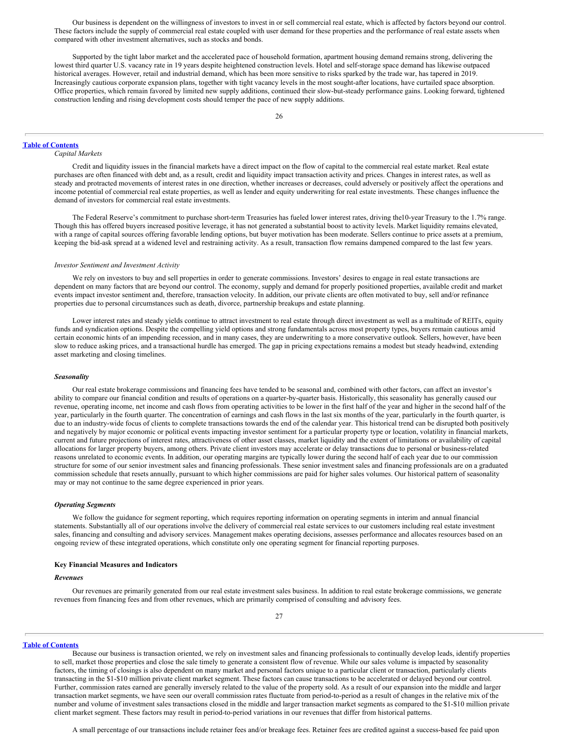Our business is dependent on the willingness of investors to invest in or sell commercial real estate, which is affected by factors beyond our control. These factors include the supply of commercial real estate coupled with user demand for these properties and the performance of real estate assets when compared with other investment alternatives, such as stocks and bonds.

Supported by the tight labor market and the accelerated pace of household formation, apartment housing demand remains strong, delivering the lowest third quarter U.S. vacancy rate in 19 years despite heightened construction levels. Hotel and self-storage space demand has likewise outpaced historical averages. However, retail and industrial demand, which has been more sensitive to risks sparked by the trade war, has tapered in 2019. Increasingly cautious corporate expansion plans, together with tight vacancy levels in the most sought-after locations, have curtailed space absorption. Office properties, which remain favored by limited new supply additions, continued their slow-but-steady performance gains. Looking forward, tightened construction lending and rising development costs should temper the pace of new supply additions.

## **Table of [Contents](#page-0-0)**

## *Capital Markets*

Credit and liquidity issues in the financial markets have a direct impact on the flow of capital to the commercial real estate market. Real estate purchases are often financed with debt and, as a result, credit and liquidity impact transaction activity and prices. Changes in interest rates, as well as steady and protracted movements of interest rates in one direction, whether increases or decreases, could adversely or positively affect the operations and income potential of commercial real estate properties, as well as lender and equity underwriting for real estate investments. These changes influence the demand of investors for commercial real estate investments.

The Federal Reserve's commitment to purchase short-term Treasuries has fueled lower interest rates, driving the10-year Treasury to the 1.7% range. Though this has offered buyers increased positive leverage, it has not generated a substantial boost to activity levels. Market liquidity remains elevated, with a range of capital sources offering favorable lending options, but buyer motivation has been moderate. Sellers continue to price assets at a premium, keeping the bid-ask spread at a widened level and restraining activity. As a result, transaction flow remains dampened compared to the last few years.

#### *Investor Sentiment and Investment Activity*

We rely on investors to buy and sell properties in order to generate commissions. Investors' desires to engage in real estate transactions are dependent on many factors that are beyond our control. The economy, supply and demand for properly positioned properties, available credit and market events impact investor sentiment and, therefore, transaction velocity. In addition, our private clients are often motivated to buy, sell and/or refinance properties due to personal circumstances such as death, divorce, partnership breakups and estate planning.

Lower interest rates and steady yields continue to attract investment to real estate through direct investment as well as a multitude of REITs, equity funds and syndication options. Despite the compelling yield options and strong fundamentals across most property types, buyers remain cautious amid certain economic hints of an impending recession, and in many cases, they are underwriting to a more conservative outlook. Sellers, however, have been slow to reduce asking prices, and a transactional hurdle has emerged. The gap in pricing expectations remains a modest but steady headwind, extending asset marketing and closing timelines.

#### *Seasonality*

Our real estate brokerage commissions and financing fees have tended to be seasonal and, combined with other factors, can affect an investor's ability to compare our financial condition and results of operations on a quarter-by-quarter basis. Historically, this seasonality has generally caused our revenue, operating income, net income and cash flows from operating activities to be lower in the first half of the year and higher in the second half of the year, particularly in the fourth quarter. The concentration of earnings and cash flows in the last six months of the year, particularly in the fourth quarter, is due to an industry-wide focus of clients to complete transactions towards the end of the calendar year. This historical trend can be disrupted both positively and negatively by major economic or political events impacting investor sentiment for a particular property type or location, volatility in financial markets, current and future projections of interest rates, attractiveness of other asset classes, market liquidity and the extent of limitations or availability of capital allocations for larger property buyers, among others. Private client investors may accelerate or delay transactions due to personal or business-related reasons unrelated to economic events. In addition, our operating margins are typically lower during the second half of each year due to our commission structure for some of our senior investment sales and financing professionals. These senior investment sales and financing professionals are on a graduated commission schedule that resets annually, pursuant to which higher commissions are paid for higher sales volumes. Our historical pattern of seasonality may or may not continue to the same degree experienced in prior years.

#### *Operating Segments*

We follow the guidance for segment reporting, which requires reporting information on operating segments in interim and annual financial statements. Substantially all of our operations involve the delivery of commercial real estate services to our customers including real estate investment sales, financing and consulting and advisory services. Management makes operating decisions, assesses performance and allocates resources based on an ongoing review of these integrated operations, which constitute only one operating segment for financial reporting purposes.

#### **Key Financial Measures and Indicators**

## *Revenues*

Our revenues are primarily generated from our real estate investment sales business. In addition to real estate brokerage commissions, we generate revenues from financing fees and from other revenues, which are primarily comprised of consulting and advisory fees.

## **Table of [Contents](#page-0-0)**

Because our business is transaction oriented, we rely on investment sales and financing professionals to continually develop leads, identify properties to sell, market those properties and close the sale timely to generate a consistent flow of revenue. While our sales volume is impacted by seasonality factors, the timing of closings is also dependent on many market and personal factors unique to a particular client or transaction, particularly clients transacting in the \$1-\$10 million private client market segment. These factors can cause transactions to be accelerated or delayed beyond our control. Further, commission rates earned are generally inversely related to the value of the property sold. As a result of our expansion into the middle and larger transaction market segments, we have seen our overall commission rates fluctuate from period-to-period as a result of changes in the relative mix of the number and volume of investment sales transactions closed in the middle and larger transaction market segments as compared to the \$1-\$10 million private client market segment. These factors may result in period-to-period variations in our revenues that differ from historical patterns.

A small percentage of our transactions include retainer fees and/or breakage fees. Retainer fees are credited against a success-based fee paid upon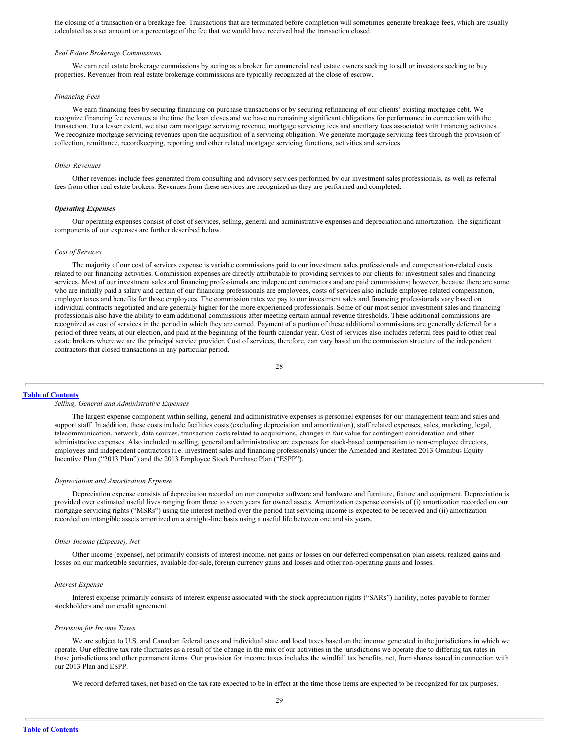the closing of a transaction or a breakage fee. Transactions that are terminated before completion will sometimes generate breakage fees, which are usually calculated as a set amount or a percentage of the fee that we would have received had the transaction closed.

#### *Real Estate Brokerage Commissions*

We earn real estate brokerage commissions by acting as a broker for commercial real estate owners seeking to sell or investors seeking to buy properties. Revenues from real estate brokerage commissions are typically recognized at the close of escrow.

## *Financing Fees*

We earn financing fees by securing financing on purchase transactions or by securing refinancing of our clients' existing mortgage debt. We recognize financing fee revenues at the time the loan closes and we have no remaining significant obligations for performance in connection with the transaction. To a lesser extent, we also earn mortgage servicing revenue, mortgage servicing fees and ancillary fees associated with financing activities. We recognize mortgage servicing revenues upon the acquisition of a servicing obligation. We generate mortgage servicing fees through the provision of collection, remittance, recordkeeping, reporting and other related mortgage servicing functions, activities and services.

#### *Other Revenues*

Other revenues include fees generated from consulting and advisory services performed by our investment sales professionals, as well as referral fees from other real estate brokers. Revenues from these services are recognized as they are performed and completed.

#### *Operating Expenses*

Our operating expenses consist of cost of services, selling, general and administrative expenses and depreciation and amortization. The significant components of our expenses are further described below.

## *Cost of Services*

The majority of our cost of services expense is variable commissions paid to our investment sales professionals and compensation-related costs related to our financing activities. Commission expenses are directly attributable to providing services to our clients for investment sales and financing services. Most of our investment sales and financing professionals are independent contractors and are paid commissions; however, because there are some who are initially paid a salary and certain of our financing professionals are employees, costs of services also include employee-related compensation, employer taxes and benefits for those employees. The commission rates we pay to our investment sales and financing professionals vary based on individual contracts negotiated and are generally higher for the more experienced professionals. Some of our most senior investment sales and financing professionals also have the ability to earn additional commissions after meeting certain annual revenue thresholds. These additional commissions are recognized as cost of services in the period in which they are earned. Payment of a portion of these additional commissions are generally deferred for a period of three years, at our election, and paid at the beginning of the fourth calendar year. Cost of services also includes referral fees paid to other real estate brokers where we are the principal service provider. Cost of services, therefore, can vary based on the commission structure of the independent contractors that closed transactions in any particular period.

28

## **Table of [Contents](#page-0-0)**

## *Selling, General and Administrative Expenses*

The largest expense component within selling, general and administrative expenses is personnel expenses for our management team and sales and support staff. In addition, these costs include facilities costs (excluding depreciation and amortization), staff related expenses, sales, marketing, legal, telecommunication, network, data sources, transaction costs related to acquisitions, changes in fair value for contingent consideration and other administrative expenses. Also included in selling, general and administrative are expenses for stock-based compensation to non-employee directors, employees and independent contractors (i.e. investment sales and financing professionals) under the Amended and Restated 2013 Omnibus Equity Incentive Plan ("2013 Plan") and the 2013 Employee Stock Purchase Plan ("ESPP").

#### *Depreciation and Amortization Expense*

Depreciation expense consists of depreciation recorded on our computer software and hardware and furniture, fixture and equipment. Depreciation is provided over estimated useful lives ranging from three to seven years for owned assets. Amortization expense consists of (i) amortization recorded on our mortgage servicing rights ("MSRs") using the interest method over the period that servicing income is expected to be received and (ii) amortization recorded on intangible assets amortized on a straight-line basis using a useful life between one and six years.

#### *Other Income (Expense), Net*

Other income (expense), net primarily consists of interest income, net gains or losses on our deferred compensation plan assets, realized gains and losses on our marketable securities, available-for-sale, foreign currency gains and losses and other non-operating gains and losses.

#### *Interest Expense*

Interest expense primarily consists of interest expense associated with the stock appreciation rights ("SARs") liability, notes payable to former stockholders and our credit agreement.

## *Provision for Income Taxes*

We are subject to U.S. and Canadian federal taxes and individual state and local taxes based on the income generated in the jurisdictions in which we operate. Our effective tax rate fluctuates as a result of the change in the mix of our activities in the jurisdictions we operate due to differing tax rates in those jurisdictions and other permanent items. Our provision for income taxes includes the windfall tax benefits, net, from shares issued in connection with our 2013 Plan and ESPP.

We record deferred taxes, net based on the tax rate expected to be in effect at the time those items are expected to be recognized for tax purposes.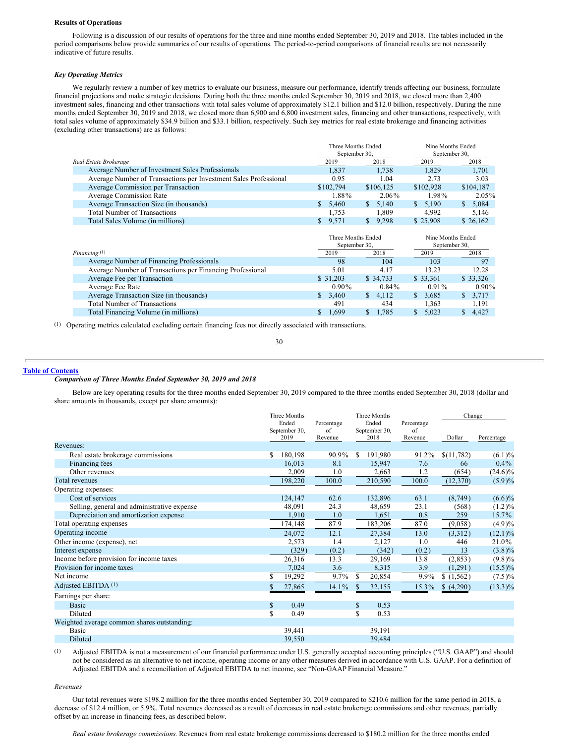#### **Results of Operations**

Following is a discussion of our results of operations for the three and nine months ended September 30, 2019 and 2018. The tables included in the period comparisons below provide summaries of our results of operations. The period-to-period comparisons of financial results are not necessarily indicative of future results.

## *Key Operating Metrics*

We regularly review a number of key metrics to evaluate our business, measure our performance, identify trends affecting our business, formulate financial projections and make strategic decisions. During both the three months ended September 30, 2019 and 2018, we closed more than 2,400 investment sales, financing and other transactions with total sales volume of approximately \$12.1 billion and \$12.0 billion, respectively. During the nine months ended September 30, 2019 and 2018, we closed more than 6,900 and 6,800 investment sales, financing and other transactions, respectively, with total sales volume of approximately \$34.9 billion and \$33.1 billion, respectively. Such key metrics for real estate brokerage and financing activities (excluding other transactions) are as follows:

|                                                                  | Three Months Ended<br>September 30, |           | Nine Months Ended |             |
|------------------------------------------------------------------|-------------------------------------|-----------|-------------------|-------------|
|                                                                  |                                     |           | September 30,     |             |
| Real Estate Brokerage                                            | 2019                                | 2018      | 2019              | 2018        |
| Average Number of Investment Sales Professionals                 | 1.837                               | 1.738     | 1.829             | 1,701       |
| Average Number of Transactions per Investment Sales Professional | 0.95                                | 1.04      | 2.73              | 3.03        |
| Average Commission per Transaction                               | \$102,794                           | \$106,125 | \$102,928         | \$104,187   |
| <b>Average Commission Rate</b>                                   | 1.88%                               | $2.06\%$  | 1.98%             | $2.05\%$    |
| Average Transaction Size (in thousands)                          | 5.460<br>S.                         | \$5,140   | \$5,190           | 5,084<br>S. |
| <b>Total Number of Transactions</b>                              | 1.753                               | 1.809     | 4.992             | 5.146       |
| Total Sales Volume (in millions)                                 | \$9.571                             | \$9.298   | \$25.908          | \$26.162    |

|                                                           | Three Months Ended<br>September 30, |          | Nine Months Ended<br>September 30, |             |
|-----------------------------------------------------------|-------------------------------------|----------|------------------------------------|-------------|
| Financing $(1)$                                           | 2019                                | 2018     | 2019                               | 2018        |
| Average Number of Financing Professionals                 | 98                                  | 104      | 103                                | 97          |
| Average Number of Transactions per Financing Professional | 5.01                                | 4.17     | 13.23                              | 12.28       |
| Average Fee per Transaction                               | \$ 31,203                           | \$34,733 | \$33.361                           | \$33,326    |
| Average Fee Rate                                          | $0.90\%$                            | $0.84\%$ | $0.91\%$                           | $0.90\%$    |
| Average Transaction Size (in thousands)                   | 3.460<br>S.                         | \$4.112  | 3.685<br>S.                        | 3,717<br>S. |
| <b>Total Number of Transactions</b>                       | 491                                 | 434      | 1.363                              | 1,191       |
| Total Financing Volume (in millions)                      | 1.699                               | 1.785    | 5.023                              | 4.427       |

(1) Operating metrics calculated excluding certain financing fees not directly associated with transactions.

#### **Table of [Contents](#page-0-0)**

## *Comparison of Three Months Ended September 30, 2019 and 2018*

Below are key operating results for the three months ended September 30, 2019 compared to the three months ended September 30, 2018 (dollar and share amounts in thousands, except per share amounts):

|                                             | Three Months<br>Ended<br>September 30, | Percentage<br>of |              | Three Months<br>Ended<br>September 30, | Percentage<br>of | Change     |            |
|---------------------------------------------|----------------------------------------|------------------|--------------|----------------------------------------|------------------|------------|------------|
|                                             | 2019                                   | Revenue          |              | 2018                                   | Revenue          | Dollar     | Percentage |
| Revenues:                                   |                                        |                  |              |                                        |                  |            |            |
| Real estate brokerage commissions           | \$<br>180,198                          | 90.9%            | \$           | 191,980                                | 91.2%            | \$(11,782) | $(6.1)\%$  |
| Financing fees                              | 16,013                                 | 8.1              |              | 15,947                                 | 7.6              | 66         | $0.4\%$    |
| Other revenues                              | 2,009                                  | 1.0              |              | 2,663                                  | 1.2              | (654)      | $(24.6)\%$ |
| <b>Total revenues</b>                       | 198,220                                | 100.0            |              | 210,590                                | 100.0            | (12,370)   | $(5.9)\%$  |
| Operating expenses:                         |                                        |                  |              |                                        |                  |            |            |
| Cost of services                            | 124,147                                | 62.6             |              | 132,896                                | 63.1             | (8,749)    | $(6.6)\%$  |
| Selling, general and administrative expense | 48,091                                 | 24.3             |              | 48,659                                 | 23.1             | (568)      | $(1.2)\%$  |
| Depreciation and amortization expense       | 1.910                                  | 1.0              |              | 1,651                                  | 0.8              | 259        | 15.7%      |
| Total operating expenses                    | 174,148                                | 87.9             |              | 183,206                                | 87.0             | (9,058)    | $(4.9)\%$  |
| Operating income                            | 24,072                                 | 12.1             |              | 27,384                                 | 13.0             | (3,312)    | $(12.1)\%$ |
| Other income (expense), net                 | 2,573                                  | 1.4              |              | 2,127                                  | 1.0              | 446        | 21.0%      |
| Interest expense                            | (329)                                  | (0.2)            |              | (342)                                  | (0.2)            | 13         | $(3.8)\%$  |
| Income before provision for income taxes    | 26,316                                 | 13.3             |              | 29,169                                 | 13.8             | (2,853)    | $(9.8)\%$  |
| Provision for income taxes                  | 7,024                                  | 3.6              |              | 8,315                                  | 3.9              | (1,291)    | $(15.5)\%$ |
| Net income                                  | 19,292                                 | $9.7\%$          | S            | 20,854                                 | 9.9%             | \$(1,562)  | $(7.5)\%$  |
| Adjusted EBITDA (1)                         | 27,865                                 | 14.1%            |              | 32,155                                 | 15.3%            | \$(4,290)  | $(13.3)\%$ |
| Earnings per share:                         |                                        |                  |              |                                        |                  |            |            |
| <b>Basic</b>                                | \$<br>0.49                             |                  | $\mathbb{S}$ | 0.53                                   |                  |            |            |
| Diluted                                     | \$<br>0.49                             |                  | \$           | 0.53                                   |                  |            |            |
| Weighted average common shares outstanding: |                                        |                  |              |                                        |                  |            |            |
| <b>Basic</b>                                | 39,441                                 |                  |              | 39,191                                 |                  |            |            |
| Diluted                                     | 39,550                                 |                  |              | 39.484                                 |                  |            |            |

(1) Adjusted EBITDA is not a measurement of our financial performance under U.S. generally accepted accounting principles ("U.S. GAAP") and should not be considered as an alternative to net income, operating income or any other measures derived in accordance with U.S. GAAP. For a definition of Adjusted EBITDA and a reconciliation of Adjusted EBITDA to net income, see "Non-GAAP Financial Measure."

#### *Revenues*

Our total revenues were \$198.2 million for the three months ended September 30, 2019 compared to \$210.6 million for the same period in 2018, a decrease of \$12.4 million, or 5.9%. Total revenues decreased as a result of decreases in real estate brokerage commissions and other revenues, partially offset by an increase in financing fees, as described below.

*Real estate brokerage commissions.* Revenues from real estate brokerage commissions decreased to \$180.2 million for the three months ended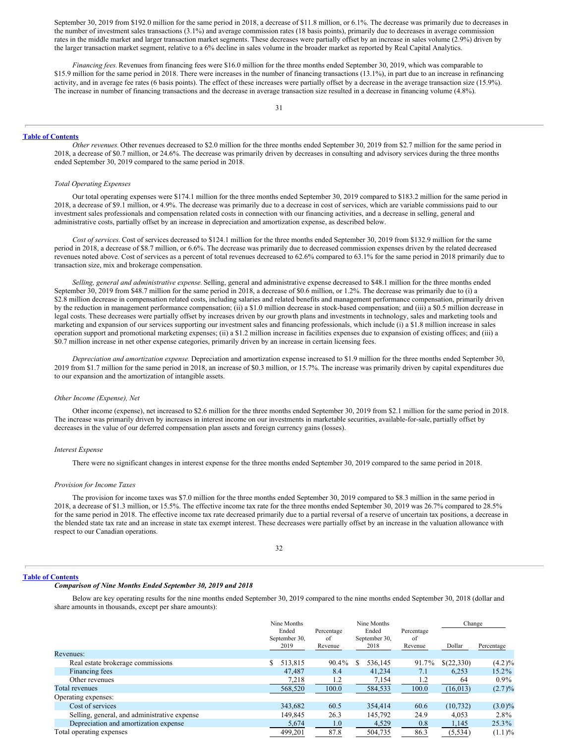September 30, 2019 from \$192.0 million for the same period in 2018, a decrease of \$11.8 million, or 6.1%. The decrease was primarily due to decreases in the number of investment sales transactions (3.1%) and average commission rates (18 basis points), primarily due to decreases in average commission rates in the middle market and larger transaction market segments. These decreases were partially offset by an increase in sales volume (2.9%) driven by the larger transaction market segment, relative to a 6% decline in sales volume in the broader market as reported by Real Capital Analytics.

*Financing fees.* Revenues from financing fees were \$16.0 million for the three months ended September 30, 2019, which was comparable to \$15.9 million for the same period in 2018. There were increases in the number of financing transactions (13.1%), in part due to an increase in refinancing activity, and in average fee rates (6 basis points). The effect of these increases were partially offset by a decrease in the average transaction size (15.9%). The increase in number of financing transactions and the decrease in average transaction size resulted in a decrease in financing volume (4.8%).

#### **Table of [Contents](#page-0-0)**

*Other revenues.* Other revenues decreased to \$2.0 million for the three months ended September 30, 2019 from \$2.7 million for the same period in 2018, a decrease of \$0.7 million, or 24.6%. The decrease was primarily driven by decreases in consulting and advisory services during the three months ended September 30, 2019 compared to the same period in 2018.

## *Total Operating Expenses*

Our total operating expenses were \$174.1 million for the three months ended September 30, 2019 compared to \$183.2 million for the same period in 2018, a decrease of \$9.1 million, or 4.9%. The decrease was primarily due to a decrease in cost of services, which are variable commissions paid to our investment sales professionals and compensation related costs in connection with our financing activities, and a decrease in selling, general and administrative costs, partially offset by an increase in depreciation and amortization expense, as described below.

*Cost of services.* Cost of services decreased to \$124.1 million for the three months ended September 30, 2019 from \$132.9 million for the same period in 2018, a decrease of \$8.7 million, or 6.6%. The decrease was primarily due to decreased commission expenses driven by the related decreased revenues noted above. Cost of services as a percent of total revenues decreased to 62.6% compared to 63.1% for the same period in 2018 primarily due to transaction size, mix and brokerage compensation.

*Selling, general and administrative expense.* Selling, general and administrative expense decreased to \$48.1 million for the three months ended September 30, 2019 from \$48.7 million for the same period in 2018, a decrease of \$0.6 million, or 1.2%. The decrease was primarily due to (i) a \$2.8 million decrease in compensation related costs, including salaries and related benefits and management performance compensation, primarily driven by the reduction in management performance compensation; (ii) a \$1.0 million decrease in stock-based compensation; and (iii) a \$0.5 million decrease in legal costs. These decreases were partially offset by increases driven by our growth plans and investments in technology, sales and marketing tools and marketing and expansion of our services supporting our investment sales and financing professionals, which include (i) a \$1.8 million increase in sales operation support and promotional marketing expenses; (ii) a \$1.2 million increase in facilities expenses due to expansion of existing offices; and (iii) a \$0.7 million increase in net other expense categories, primarily driven by an increase in certain licensing fees.

*Depreciation and amortization expense.* Depreciation and amortization expense increased to \$1.9 million for the three months ended September 30, 2019 from \$1.7 million for the same period in 2018, an increase of \$0.3 million, or 15.7%. The increase was primarily driven by capital expenditures due to our expansion and the amortization of intangible assets.

#### *Other Income (Expense), Net*

Other income (expense), net increased to \$2.6 million for the three months ended September 30, 2019 from \$2.1 million for the same period in 2018. The increase was primarily driven by increases in interest income on our investments in marketable securities, available-for-sale, partially offset by decreases in the value of our deferred compensation plan assets and foreign currency gains (losses).

#### *Interest Expense*

There were no significant changes in interest expense for the three months ended September 30, 2019 compared to the same period in 2018.

#### *Provision for Income Taxes*

The provision for income taxes was \$7.0 million for the three months ended September 30, 2019 compared to \$8.3 million in the same period in 2018, a decrease of \$1.3 million, or 15.5%. The effective income tax rate for the three months ended September 30, 2019 was 26.7% compared to 28.5% for the same period in 2018. The effective income tax rate decreased primarily due to a partial reversal of a reserve of uncertain tax positions, a decrease in the blended state tax rate and an increase in state tax exempt interest. These decreases were partially offset by an increase in the valuation allowance with respect to our Canadian operations.

## **Table of [Contents](#page-0-0)**

## *Comparison of Nine Months Ended September 30, 2019 and 2018*

Below are key operating results for the nine months ended September 30, 2019 compared to the nine months ended September 30, 2018 (dollar and share amounts in thousands, except per share amounts):

|                                              | Nine Months<br>Ended |                  | Nine Months<br>Ended |                  | Change     |            |
|----------------------------------------------|----------------------|------------------|----------------------|------------------|------------|------------|
|                                              | September 30,        | Percentage<br>of | September 30,        | Percentage<br>of |            |            |
|                                              | 2019                 | Revenue          | 2018                 | Revenue          | Dollar     | Percentage |
| Revenues:                                    |                      |                  |                      |                  |            |            |
| Real estate brokerage commissions            | 513.815<br>S.        | 90.4%            | 536.145<br>S         | 91.7%            | \$(22,330) | $(4.2)\%$  |
| Financing fees                               | 47.487               | 8.4              | 41.234               | 7.1              | 6,253      | $15.2\%$   |
| Other revenues                               | 7,218                | 1.2              | 7,154                | 1.2              | 64         | $0.9\%$    |
| Total revenues                               | 568,520              | 100.0            | 584,533              | 100.0            | (16,013)   | $(2.7)\%$  |
| Operating expenses:                          |                      |                  |                      |                  |            |            |
| Cost of services                             | 343.682              | 60.5             | 354,414              | 60.6             | (10, 732)  | $(3.0)\%$  |
| Selling, general, and administrative expense | 149.845              | 26.3             | 145.792              | 24.9             | 4,053      | 2.8%       |
| Depreciation and amortization expense        | 5,674                | 1.0              | 4,529                | 0.8              | 1,145      | $25.3\%$   |
| Total operating expenses                     | 499,201              | 87.8             | 504,735              | 86.3             | (5, 534)   | (1.1)%     |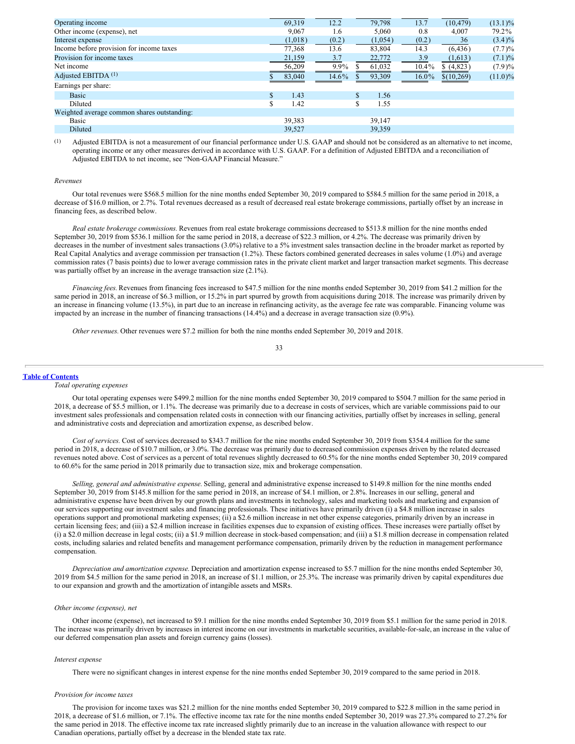| 69,319  | 12.2  |    | 79,798           | 13.7     | (10, 479)  | $(13.1)\%$ |
|---------|-------|----|------------------|----------|------------|------------|
| 9.067   | 1.6   |    | 5,060            | 0.8      | 4,007      | 79.2%      |
| (1,018) | (0.2) |    | (1,054)          | (0.2)    | 36         | $(3.4)\%$  |
| 77,368  | 13.6  |    | 83,804           | 14.3     | (6, 436)   | $(7.7) \%$ |
| 21,159  | 3.7   |    | 22,772           | 3.9      | (1,613)    | $(7.1)\%$  |
| 56,209  |       |    | 61,032           | $10.4\%$ | \$(4,823)  | $(7.9)\%$  |
| 83,040  |       | ъ. | 93,309           | $16.0\%$ | \$(10,269) | $(11.0)\%$ |
|         |       |    |                  |          |            |            |
| 1.43    |       |    | 1.56             |          |            |            |
| 1.42    |       |    | 1.55             |          |            |            |
|         |       |    |                  |          |            |            |
| 39,383  |       |    | 39.147           |          |            |            |
| 39,527  |       |    | 39,359           |          |            |            |
|         |       |    | $9.9\%$<br>14.6% |          |            |            |

(1) Adjusted EBITDA is not a measurement of our financial performance under U.S. GAAP and should not be considered as an alternative to net income, operating income or any other measures derived in accordance with U.S. GAAP. For a definition of Adjusted EBITDA and a reconciliation of Adjusted EBITDA to net income, see "Non-GAAP Financial Measure."

#### *Revenues*

Our total revenues were \$568.5 million for the nine months ended September 30, 2019 compared to \$584.5 million for the same period in 2018, a decrease of \$16.0 million, or 2.7%. Total revenues decreased as a result of decreased real estate brokerage commissions, partially offset by an increase in financing fees, as described below.

*Real estate brokerage commissions.* Revenues from real estate brokerage commissions decreased to \$513.8 million for the nine months ended September 30, 2019 from \$536.1 million for the same period in 2018, a decrease of \$22.3 million, or 4.2%. The decrease was primarily driven by decreases in the number of investment sales transactions (3.0%) relative to a 5% investment sales transaction decline in the broader market as reported by Real Capital Analytics and average commission per transaction (1.2%). These factors combined generated decreases in sales volume (1.0%) and average commission rates (7 basis points) due to lower average commission rates in the private client market and larger transaction market segments. This decrease was partially offset by an increase in the average transaction size  $(2.1\%)$ .

*Financing fees.* Revenues from financing fees increased to \$47.5 million for the nine months ended September 30, 2019 from \$41.2 million for the same period in 2018, an increase of \$6.3 million, or 15.2% in part spurred by growth from acquisitions during 2018. The increase was primarily driven by an increase in financing volume (13.5%), in part due to an increase in refinancing activity, as the average fee rate was comparable. Financing volume was impacted by an increase in the number of financing transactions (14.4%) and a decrease in average transaction size (0.9%).

*Other revenues.* Other revenues were \$7.2 million for both the nine months ended September 30, 2019 and 2018.

## 33

#### **Table of [Contents](#page-0-0)**

## *Total operating expenses*

Our total operating expenses were \$499.2 million for the nine months ended September 30, 2019 compared to \$504.7 million for the same period in 2018, a decrease of \$5.5 million, or 1.1%. The decrease was primarily due to a decrease in costs of services, which are variable commissions paid to our investment sales professionals and compensation related costs in connection with our financing activities, partially offset by increases in selling, general and administrative costs and depreciation and amortization expense, as described below.

*Cost of services.* Cost of services decreased to \$343.7 million for the nine months ended September 30, 2019 from \$354.4 million for the same period in 2018, a decrease of \$10.7 million, or 3.0%. The decrease was primarily due to decreased commission expenses driven by the related decreased revenues noted above. Cost of services as a percent of total revenues slightly decreased to 60.5% for the nine months ended September 30, 2019 compared to 60.6% for the same period in 2018 primarily due to transaction size, mix and brokerage compensation.

*Selling, general and administrative expense.* Selling, general and administrative expense increased to \$149.8 million for the nine months ended September 30, 2019 from \$145.8 million for the same period in 2018, an increase of \$4.1 million, or 2.8%. Increases in our selling, general and administrative expense have been driven by our growth plans and investments in technology, sales and marketing tools and marketing and expansion of our services supporting our investment sales and financing professionals. These initiatives have primarily driven (i) a \$4.8 million increase in sales operations support and promotional marketing expenses; (ii) a \$2.6 million increase in net other expense categories, primarily driven by an increase in certain licensing fees; and (iii) a \$2.4 million increase in facilities expenses due to expansion of existing offices. These increases were partially offset by (i) a \$2.0 million decrease in legal costs; (ii) a \$1.9 million decrease in stock-based compensation; and (iii) a \$1.8 million decrease in compensation related costs, including salaries and related benefits and management performance compensation, primarily driven by the reduction in management performance compensation.

*Depreciation and amortization expense.* Depreciation and amortization expense increased to \$5.7 million for the nine months ended September 30, 2019 from \$4.5 million for the same period in 2018, an increase of \$1.1 million, or 25.3%. The increase was primarily driven by capital expenditures due to our expansion and growth and the amortization of intangible assets and MSRs.

#### *Other income (expense), net*

Other income (expense), net increased to \$9.1 million for the nine months ended September 30, 2019 from \$5.1 million for the same period in 2018. The increase was primarily driven by increases in interest income on our investments in marketable securities, available-for-sale, an increase in the value of our deferred compensation plan assets and foreign currency gains (losses).

## *Interest expense*

There were no significant changes in interest expense for the nine months ended September 30, 2019 compared to the same period in 2018.

#### *Provision for income taxes*

The provision for income taxes was \$21.2 million for the nine months ended September 30, 2019 compared to \$22.8 million in the same period in 2018, a decrease of \$1.6 million, or 7.1%. The effective income tax rate for the nine months ended September 30, 2019 was 27.3% compared to 27.2% for the same period in 2018. The effective income tax rate increased slightly primarily due to an increase in the valuation allowance with respect to our Canadian operations, partially offset by a decrease in the blended state tax rate.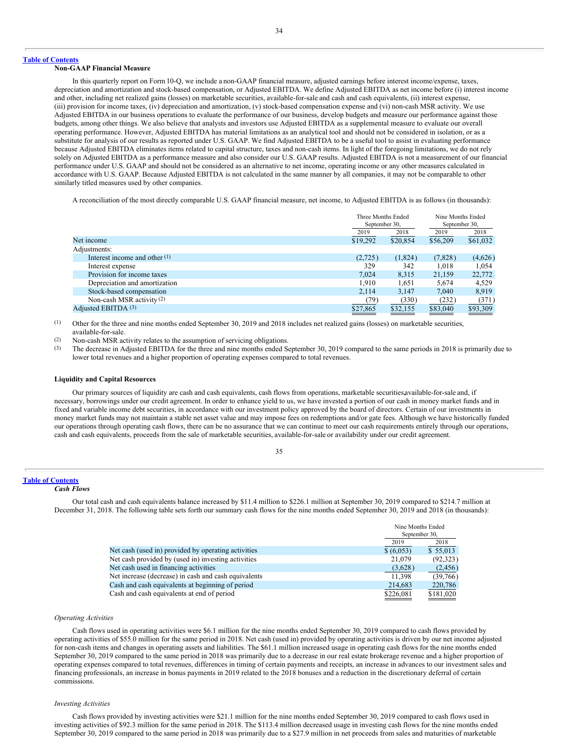## **Table of [Contents](#page-0-0)**

## **Non-GAAP Financial Measure**

In this quarterly report on Form 10-Q, we include a non-GAAP financial measure, adjusted earnings before interest income/expense, taxes, depreciation and amortization and stock-based compensation, or Adjusted EBITDA. We define Adjusted EBITDA as net income before (i) interest income and other, including net realized gains (losses) on marketable securities, available-for-sale and cash and cash equivalents, (ii) interest expense, (iii) provision for income taxes, (iv) depreciation and amortization, (v) stock-based compensation expense and (vi) non-cash MSR activity. We use Adjusted EBITDA in our business operations to evaluate the performance of our business, develop budgets and measure our performance against those budgets, among other things. We also believe that analysts and investors use Adjusted EBITDA as a supplemental measure to evaluate our overall operating performance. However, Adjusted EBITDA has material limitations as an analytical tool and should not be considered in isolation, or as a substitute for analysis of our results as reported under U.S. GAAP. We find Adjusted EBITDA to be a useful tool to assist in evaluating performance because Adjusted EBITDA eliminates items related to capital structure, taxes and non-cash items. In light of the foregoing limitations, we do not rely solely on Adjusted EBITDA as a performance measure and also consider our U.S. GAAP results. Adjusted EBITDA is not a measurement of our financial performance under U.S. GAAP and should not be considered as an alternative to net income, operating income or any other measures calculated in accordance with U.S. GAAP. Because Adjusted EBITDA is not calculated in the same manner by all companies, it may not be comparable to other similarly titled measures used by other companies.

A reconciliation of the most directly comparable U.S. GAAP financial measure, net income, to Adjusted EBITDA is as follows (in thousands):

|                                 | Three Months Ended<br>September 30, |          | Nine Months Ended<br>September 30, |          |
|---------------------------------|-------------------------------------|----------|------------------------------------|----------|
|                                 | 2019                                | 2018     | 2019                               | 2018     |
| Net income                      | \$19,292                            | \$20,854 | \$56,209                           | \$61,032 |
| Adjustments:                    |                                     |          |                                    |          |
| Interest income and other $(1)$ | (2, 725)                            | (1,824)  | (7,828)                            | (4,626)  |
| Interest expense                | 329                                 | 342      | 1.018                              | 1,054    |
| Provision for income taxes      | 7.024                               | 8,315    | 21,159                             | 22,772   |
| Depreciation and amortization   | 1.910                               | 1.651    | 5.674                              | 4,529    |
| Stock-based compensation        | 2.114                               | 3.147    | 7.040                              | 8.919    |
| Non-cash MSR activity (2)       | (79)                                | (330)    | (232)                              | (371)    |
| Adjusted EBITDA (3)             | \$27,865                            | \$32,155 | \$83,040                           | \$93,309 |

(1) Other for the three and nine months ended September 30, 2019 and 2018 includes net realized gains (losses) on marketable securities, available-for-sale.

(2) Non-cash MSR activity relates to the assumption of servicing obligations.

(3) The decrease in Adjusted EBITDA for the three and nine months ended September 30, 2019 compared to the same periods in 2018 is primarily due to lower total revenues and a higher proportion of operating expenses compared to total revenues.

#### **Liquidity and Capital Resources**

Our primary sources of liquidity are cash and cash equivalents, cash flows from operations, marketable securities,available-for-sale and, if necessary, borrowings under our credit agreement. In order to enhance yield to us, we have invested a portion of our cash in money market funds and in fixed and variable income debt securities, in accordance with our investment policy approved by the board of directors. Certain of our investments in money market funds may not maintain a stable net asset value and may impose fees on redemptions and/or gate fees. Although we have historically funded our operations through operating cash flows, there can be no assurance that we can continue to meet our cash requirements entirely through our operations, cash and cash equivalents, proceeds from the sale of marketable securities, available-for-sale or availability under our credit agreement.

## **Table of [Contents](#page-0-0)**

## *Cash Flows*

Our total cash and cash equivalents balance increased by \$11.4 million to \$226.1 million at September 30, 2019 compared to \$214.7 million at December 31, 2018. The following table sets forth our summary cash flows for the nine months ended September 30, 2019 and 2018 (in thousands):

|                                                      | Nine Months Ended<br>September 30, |           |
|------------------------------------------------------|------------------------------------|-----------|
|                                                      | 2019                               | 2018      |
| Net cash (used in) provided by operating activities  | \$ (6,053)                         | \$55,013  |
| Net cash provided by (used in) investing activities  | 21,079                             | (92, 323) |
| Net cash used in financing activities                | (3,628)                            | (2,456)   |
| Net increase (decrease) in cash and cash equivalents | 11,398                             | (39,766)  |
| Cash and cash equivalents at beginning of period     | 214,683                            | 220,786   |
| Cash and cash equivalents at end of period           | \$226,081                          | \$181,020 |

## *Operating Activities*

Cash flows used in operating activities were \$6.1 million for the nine months ended September 30, 2019 compared to cash flows provided by operating activities of \$55.0 million for the same period in 2018. Net cash (used in) provided by operating activities is driven by our net income adjusted for non-cash items and changes in operating assets and liabilities. The \$61.1 million increased usage in operating cash flows for the nine months ended September 30, 2019 compared to the same period in 2018 was primarily due to a decrease in our real estate brokerage revenue and a higher proportion of operating expenses compared to total revenues, differences in timing of certain payments and receipts, an increase in advances to our investment sales and financing professionals, an increase in bonus payments in 2019 related to the 2018 bonuses and a reduction in the discretionary deferral of certain commissions.

#### *Investing Activities*

Cash flows provided by investing activities were \$21.1 million for the nine months ended September 30, 2019 compared to cash flows used in investing activities of \$92.3 million for the same period in 2018. The \$113.4 million decreased usage in investing cash flows for the nine months ended September 30, 2019 compared to the same period in 2018 was primarily due to a \$27.9 million in net proceeds from sales and maturities of marketable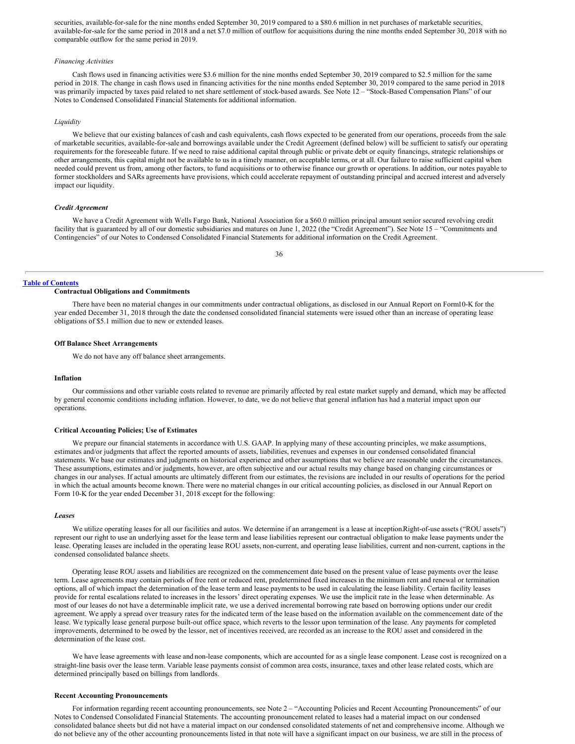securities, available-for-sale for the nine months ended September 30, 2019 compared to a \$80.6 million in net purchases of marketable securities, available-for-sale for the same period in 2018 and a net \$7.0 million of outflow for acquisitions during the nine months ended September 30, 2018 with no comparable outflow for the same period in 2019.

#### *Financing Activities*

Cash flows used in financing activities were \$3.6 million for the nine months ended September 30, 2019 compared to \$2.5 million for the same period in 2018. The change in cash flows used in financing activities for the nine months ended September 30, 2019 compared to the same period in 2018 was primarily impacted by taxes paid related to net share settlement of stock-based awards. See Note 12 – "Stock-Based Compensation Plans" of our Notes to Condensed Consolidated Financial Statements for additional information.

## *Liquidity*

We believe that our existing balances of cash and cash equivalents, cash flows expected to be generated from our operations, proceeds from the sale of marketable securities, available-for-sale and borrowings available under the Credit Agreement (defined below) will be sufficient to satisfy our operating requirements for the foreseeable future. If we need to raise additional capital through public or private debt or equity financings, strategic relationships or other arrangements, this capital might not be available to us in a timely manner, on acceptable terms, or at all. Our failure to raise sufficient capital when needed could prevent us from, among other factors, to fund acquisitions or to otherwise finance our growth or operations. In addition, our notes payable to former stockholders and SARs agreements have provisions, which could accelerate repayment of outstanding principal and accrued interest and adversely impact our liquidity.

## *Credit Agreement*

We have a Credit Agreement with Wells Fargo Bank, National Association for a \$60.0 million principal amount senior secured revolving credit facility that is guaranteed by all of our domestic subsidiaries and matures on June 1, 2022 (the "Credit Agreement"). See Note 15 – "Commitments and Contingencies" of our Notes to Condensed Consolidated Financial Statements for additional information on the Credit Agreement.

36

## **Table of [Contents](#page-0-0)**

## **Contractual Obligations and Commitments**

There have been no material changes in our commitments under contractual obligations, as disclosed in our Annual Report on Form10-K for the year ended December 31, 2018 through the date the condensed consolidated financial statements were issued other than an increase of operating lease obligations of \$5.1 million due to new or extended leases.

#### **Off Balance Sheet Arrangements**

We do not have any off balance sheet arrangements.

#### **Inflation**

Our commissions and other variable costs related to revenue are primarily affected by real estate market supply and demand, which may be affected by general economic conditions including inflation. However, to date, we do not believe that general inflation has had a material impact upon our operations.

#### **Critical Accounting Policies; Use of Estimates**

We prepare our financial statements in accordance with U.S. GAAP. In applying many of these accounting principles, we make assumptions, estimates and/or judgments that affect the reported amounts of assets, liabilities, revenues and expenses in our condensed consolidated financial statements. We base our estimates and judgments on historical experience and other assumptions that we believe are reasonable under the circumstances. These assumptions, estimates and/or judgments, however, are often subjective and our actual results may change based on changing circumstances or changes in our analyses. If actual amounts are ultimately different from our estimates, the revisions are included in our results of operations for the period in which the actual amounts become known. There were no material changes in our critical accounting policies, as disclosed in our Annual Report on Form 10-K for the year ended December 31, 2018 except for the following:

## *Leases*

We utilize operating leases for all our facilities and autos. We determine if an arrangement is a lease at inception.Right-of-use assets ("ROU assets") represent our right to use an underlying asset for the lease term and lease liabilities represent our contractual obligation to make lease payments under the lease. Operating leases are included in the operating lease ROU assets, non-current, and operating lease liabilities, current and non-current, captions in the condensed consolidated balance sheets.

Operating lease ROU assets and liabilities are recognized on the commencement date based on the present value of lease payments over the lease term. Lease agreements may contain periods of free rent or reduced rent, predetermined fixed increases in the minimum rent and renewal or termination options, all of which impact the determination of the lease term and lease payments to be used in calculating the lease liability. Certain facility leases provide for rental escalations related to increases in the lessors' direct operating expenses. We use the implicit rate in the lease when determinable. As most of our leases do not have a determinable implicit rate, we use a derived incremental borrowing rate based on borrowing options under our credit agreement. We apply a spread over treasury rates for the indicated term of the lease based on the information available on the commencement date of the lease. We typically lease general purpose built-out office space, which reverts to the lessor upon termination of the lease. Any payments for completed improvements, determined to be owed by the lessor, net of incentives received, are recorded as an increase to the ROU asset and considered in the determination of the lease cost.

We have lease agreements with lease and non-lease components, which are accounted for as a single lease component. Lease cost is recognized on a straight-line basis over the lease term. Variable lease payments consist of common area costs, insurance, taxes and other lease related costs, which are determined principally based on billings from landlords.

#### **Recent Accounting Pronouncements**

For information regarding recent accounting pronouncements, see Note 2 – "Accounting Policies and Recent Accounting Pronouncements" of our Notes to Condensed Consolidated Financial Statements. The accounting pronouncement related to leases had a material impact on our condensed consolidated balance sheets but did not have a material impact on our condensed consolidated statements of net and comprehensive income. Although we do not believe any of the other accounting pronouncements listed in that note will have a significant impact on our business, we are still in the process of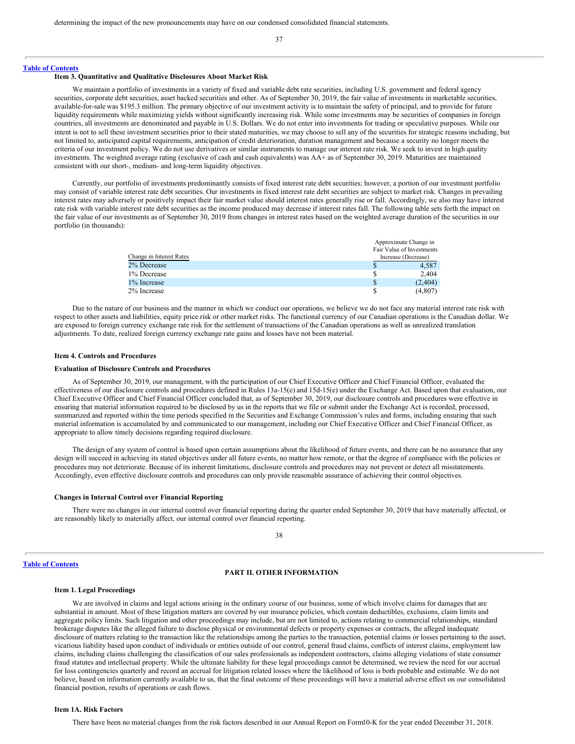## **Table of [Contents](#page-0-0)**

## <span id="page-24-0"></span>**Item 3. Quantitative and Qualitative Disclosures About Market Risk**

We maintain a portfolio of investments in a variety of fixed and variable debt rate securities, including U.S. government and federal agency securities, corporate debt securities, asset backed securities and other. As of September 30, 2019, the fair value of investments in marketable securities, available-for-sale was \$195.3 million. The primary objective of our investment activity is to maintain the safety of principal, and to provide for future liquidity requirements while maximizing yields without significantly increasing risk. While some investments may be securities of companies in foreign countries, all investments are denominated and payable in U.S. Dollars. We do not enter into investments for trading or speculative purposes. While our intent is not to sell these investment securities prior to their stated maturities, we may choose to sell any of the securities for strategic reasons including, but not limited to, anticipated capital requirements, anticipation of credit deterioration, duration management and because a security no longer meets the criteria of our investment policy. We do not use derivatives or similar instruments to manage our interest rate risk. We seek to invest in high quality investments. The weighted average rating (exclusive of cash and cash equivalents) was AA+ as of September 30, 2019. Maturities are maintained consistent with our short-, medium- and long-term liquidity objectives.

Currently, our portfolio of investments predominantly consists of fixed interest rate debt securities; however, a portion of our investment portfolio may consist of variable interest rate debt securities. Our investments in fixed interest rate debt securities are subject to market risk. Changes in prevailing interest rates may adversely or positively impact their fair market value should interest rates generally rise or fall. Accordingly, we also may have interest rate risk with variable interest rate debt securities as the income produced may decrease if interest rates fall. The following table sets forth the impact on the fair value of our investments as of September 30, 2019 from changes in interest rates based on the weighted average duration of the securities in our portfolio (in thousands):

|                          | Approximate Change in     |
|--------------------------|---------------------------|
|                          | Fair Value of Investments |
| Change in Interest Rates | Increase (Decrease)       |
| 2% Decrease              | 4.587                     |
| 1% Decrease              | 2.404                     |
| 1% Increase              | (2, 404)                  |
| 2% Increase              | (4,807)                   |

Due to the nature of our business and the manner in which we conduct our operations, we believe we do not face any material interest rate risk with respect to other assets and liabilities, equity price risk or other market risks. The functional currency of our Canadian operations is the Canadian dollar. We are exposed to foreign currency exchange rate risk for the settlement of transactions of the Canadian operations as well as unrealized translation adjustments. To date, realized foreign currency exchange rate gains and losses have not been material.

## <span id="page-24-1"></span>**Item 4. Controls and Procedures**

#### **Evaluation of Disclosure Controls and Procedures**

As of September 30, 2019, our management, with the participation of our Chief Executive Officer and Chief Financial Officer, evaluated the effectiveness of our disclosure controls and procedures defined in Rules 13a-15(e) and 15d-15(e) under the Exchange Act. Based upon that evaluation, our Chief Executive Officer and Chief Financial Officer concluded that, as of September 30, 2019, our disclosure controls and procedures were effective in ensuring that material information required to be disclosed by us in the reports that we file or submit under the Exchange Act is recorded, processed, summarized and reported within the time periods specified in the Securities and Exchange Commission's rules and forms, including ensuring that such material information is accumulated by and communicated to our management, including our Chief Executive Officer and Chief Financial Officer, as appropriate to allow timely decisions regarding required disclosure.

The design of any system of control is based upon certain assumptions about the likelihood of future events, and there can be no assurance that any design will succeed in achieving its stated objectives under all future events, no matter how remote, or that the degree of compliance with the policies or procedures may not deteriorate. Because of its inherent limitations, disclosure controls and procedures may not prevent or detect all misstatements. Accordingly, even effective disclosure controls and procedures can only provide reasonable assurance of achieving their control objectives.

#### **Changes in Internal Control over Financial Reporting**

There were no changes in our internal control over financial reporting during the quarter ended September 30, 2019 that have materially affected, or are reasonably likely to materially affect, our internal control over financial reporting.

38

## **Table of [Contents](#page-0-0)**

## **PART II. OTHER INFORMATION**

## <span id="page-24-3"></span><span id="page-24-2"></span>**Item 1. Legal Proceedings**

We are involved in claims and legal actions arising in the ordinary course of our business, some of which involve claims for damages that are substantial in amount. Most of these litigation matters are covered by our insurance policies, which contain deductibles, exclusions, claim limits and aggregate policy limits. Such litigation and other proceedings may include, but are not limited to, actions relating to commercial relationships, standard brokerage disputes like the alleged failure to disclose physical or environmental defects or property expenses or contracts, the alleged inadequate disclosure of matters relating to the transaction like the relationships among the parties to the transaction, potential claims or losses pertaining to the asset, vicarious liability based upon conduct of individuals or entities outside of our control, general fraud claims, conflicts of interest claims, employment law claims, including claims challenging the classification of our sales professionals as independent contractors, claims alleging violations of state consumer fraud statutes and intellectual property. While the ultimate liability for these legal proceedings cannot be determined, we review the need for our accrual for loss contingencies quarterly and record an accrual for litigation related losses where the likelihood of loss is both probable and estimable. We do not believe, based on information currently available to us, that the final outcome of these proceedings will have a material adverse effect on our consolidated financial position, results of operations or cash flows.

## <span id="page-24-4"></span>**Item 1A. Risk Factors**

There have been no material changes from the risk factors described in our Annual Report on Form10-K for the year ended December 31, 2018.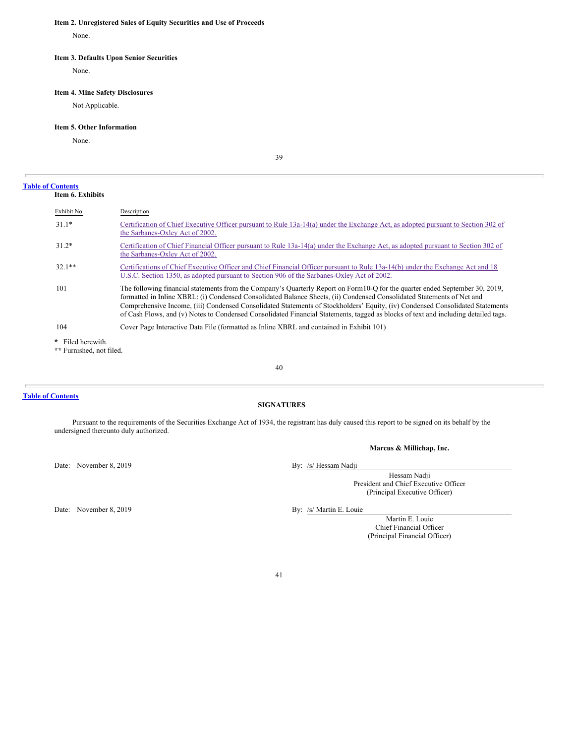## <span id="page-25-0"></span>**Item 2. Unregistered Sales of Equity Securities and Use of Proceeds**

None.

## <span id="page-25-1"></span>**Item 3. Defaults Upon Senior Securities**

None.

## <span id="page-25-2"></span>**Item 4. Mine Safety Disclosures**

Not Applicable.

## <span id="page-25-3"></span>**Item 5. Other Information**

None.

39

## **Table of [Contents](#page-0-0)**

<span id="page-25-4"></span>

| Item 6. Exhibits                              |                                                                                                                                                                                                                                                                                                                                                                                                                                                                                                                                |
|-----------------------------------------------|--------------------------------------------------------------------------------------------------------------------------------------------------------------------------------------------------------------------------------------------------------------------------------------------------------------------------------------------------------------------------------------------------------------------------------------------------------------------------------------------------------------------------------|
| Exhibit No.                                   | Description                                                                                                                                                                                                                                                                                                                                                                                                                                                                                                                    |
| $31.1*$                                       | Certification of Chief Executive Officer pursuant to Rule 13a-14(a) under the Exchange Act, as adopted pursuant to Section 302 of<br>the Sarbanes-Oxley Act of 2002.                                                                                                                                                                                                                                                                                                                                                           |
| $31.2*$                                       | Certification of Chief Financial Officer pursuant to Rule 13a-14(a) under the Exchange Act, as adopted pursuant to Section 302 of<br>the Sarbanes-Oxley Act of 2002.                                                                                                                                                                                                                                                                                                                                                           |
| $32.1**$                                      | Certifications of Chief Executive Officer and Chief Financial Officer pursuant to Rule 13a-14(b) under the Exchange Act and 18<br>U.S.C. Section 1350, as adopted pursuant to Section 906 of the Sarbanes-Oxley Act of 2002.                                                                                                                                                                                                                                                                                                   |
| 101                                           | The following financial statements from the Company's Quarterly Report on Form 10-Q for the quarter ended September 30, 2019,<br>formatted in Inline XBRL: (i) Condensed Consolidated Balance Sheets, (ii) Condensed Consolidated Statements of Net and<br>Comprehensive Income, (iii) Condensed Consolidated Statements of Stockholders' Equity, (iv) Condensed Consolidated Statements<br>of Cash Flows, and (v) Notes to Condensed Consolidated Financial Statements, tagged as blocks of text and including detailed tags. |
| 104                                           | Cover Page Interactive Data File (formatted as Inline XBRL and contained in Exhibit 101)                                                                                                                                                                                                                                                                                                                                                                                                                                       |
| * Filed herewith.<br>** Furnished, not filed. |                                                                                                                                                                                                                                                                                                                                                                                                                                                                                                                                |

40

## **Table of [Contents](#page-0-0)**

## **SIGNATURES**

<span id="page-25-5"></span>Pursuant to the requirements of the Securities Exchange Act of 1934, the registrant has duly caused this report to be signed on its behalf by the undersigned thereunto duly authorized.

**Marcus & Millichap, Inc.**

Date: November 8, 2019 By: /s/ Hessam Nadji

Hessam Nadji President and Chief Executive Officer (Principal Executive Officer)

Date: November 8, 2019 By: /s/ Martin E. Louie

Martin E. Louie Chief Financial Officer (Principal Financial Officer)

41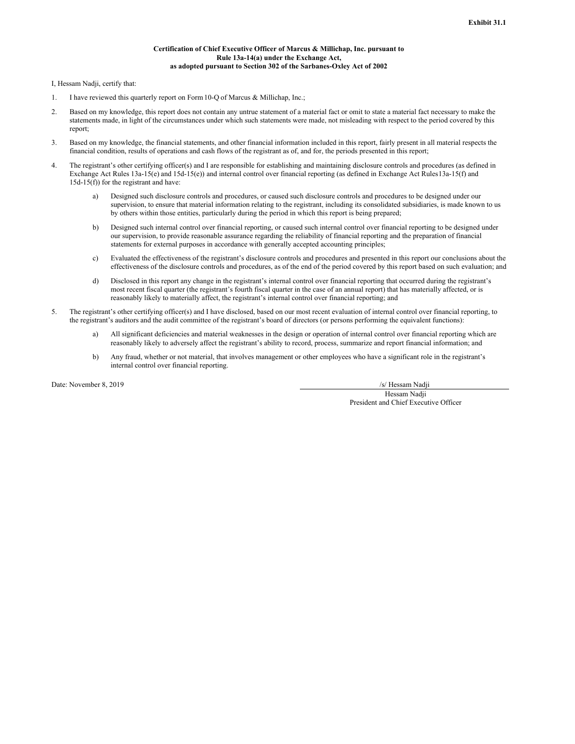## **Certification of Chief Executive Officer of Marcus & Millichap, Inc. pursuant to Rule 13a-14(a) under the Exchange Act, as adopted pursuant to Section 302 of the Sarbanes-Oxley Act of 2002**

<span id="page-26-0"></span>I, Hessam Nadji, certify that:

- 1. I have reviewed this quarterly report on Form10-Q of Marcus & Millichap, Inc.;
- 2. Based on my knowledge, this report does not contain any untrue statement of a material fact or omit to state a material fact necessary to make the statements made, in light of the circumstances under which such statements were made, not misleading with respect to the period covered by this report;
- 3. Based on my knowledge, the financial statements, and other financial information included in this report, fairly present in all material respects the financial condition, results of operations and cash flows of the registrant as of, and for, the periods presented in this report;
- 4. The registrant's other certifying officer(s) and I are responsible for establishing and maintaining disclosure controls and procedures (as defined in Exchange Act Rules 13a-15(e) and 15d-15(e)) and internal control over financial reporting (as defined in Exchange Act Rules13a-15(f) and 15d-15(f)) for the registrant and have:
	- a) Designed such disclosure controls and procedures, or caused such disclosure controls and procedures to be designed under our supervision, to ensure that material information relating to the registrant, including its consolidated subsidiaries, is made known to us by others within those entities, particularly during the period in which this report is being prepared;
	- b) Designed such internal control over financial reporting, or caused such internal control over financial reporting to be designed under our supervision, to provide reasonable assurance regarding the reliability of financial reporting and the preparation of financial statements for external purposes in accordance with generally accepted accounting principles;
	- c) Evaluated the effectiveness of the registrant's disclosure controls and procedures and presented in this report our conclusions about the effectiveness of the disclosure controls and procedures, as of the end of the period covered by this report based on such evaluation; and
	- d) Disclosed in this report any change in the registrant's internal control over financial reporting that occurred during the registrant's most recent fiscal quarter (the registrant's fourth fiscal quarter in the case of an annual report) that has materially affected, or is reasonably likely to materially affect, the registrant's internal control over financial reporting; and
- 5. The registrant's other certifying officer(s) and I have disclosed, based on our most recent evaluation of internal control over financial reporting, to the registrant's auditors and the audit committee of the registrant's board of directors (or persons performing the equivalent functions):
	- a) All significant deficiencies and material weaknesses in the design or operation of internal control over financial reporting which are reasonably likely to adversely affect the registrant's ability to record, process, summarize and report financial information; and
	- b) Any fraud, whether or not material, that involves management or other employees who have a significant role in the registrant's internal control over financial reporting.

Date: November 8, 2019 /s/ Hessam Nadji

Hessam Nadji President and Chief Executive Officer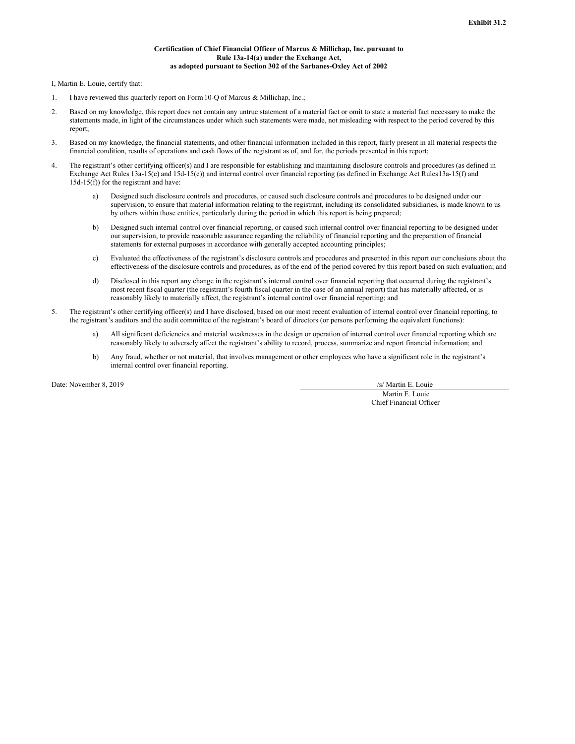## **Certification of Chief Financial Officer of Marcus & Millichap, Inc. pursuant to Rule 13a-14(a) under the Exchange Act, as adopted pursuant to Section 302 of the Sarbanes-Oxley Act of 2002**

<span id="page-27-0"></span>I, Martin E. Louie, certify that:

- 1. I have reviewed this quarterly report on Form10-Q of Marcus & Millichap, Inc.;
- 2. Based on my knowledge, this report does not contain any untrue statement of a material fact or omit to state a material fact necessary to make the statements made, in light of the circumstances under which such statements were made, not misleading with respect to the period covered by this report;
- 3. Based on my knowledge, the financial statements, and other financial information included in this report, fairly present in all material respects the financial condition, results of operations and cash flows of the registrant as of, and for, the periods presented in this report;
- 4. The registrant's other certifying officer(s) and I are responsible for establishing and maintaining disclosure controls and procedures (as defined in Exchange Act Rules 13a-15(e) and 15d-15(e)) and internal control over financial reporting (as defined in Exchange Act Rules13a-15(f) and 15d-15(f)) for the registrant and have:
	- a) Designed such disclosure controls and procedures, or caused such disclosure controls and procedures to be designed under our supervision, to ensure that material information relating to the registrant, including its consolidated subsidiaries, is made known to us by others within those entities, particularly during the period in which this report is being prepared;
	- b) Designed such internal control over financial reporting, or caused such internal control over financial reporting to be designed under our supervision, to provide reasonable assurance regarding the reliability of financial reporting and the preparation of financial statements for external purposes in accordance with generally accepted accounting principles;
	- c) Evaluated the effectiveness of the registrant's disclosure controls and procedures and presented in this report our conclusions about the effectiveness of the disclosure controls and procedures, as of the end of the period covered by this report based on such evaluation; and
	- d) Disclosed in this report any change in the registrant's internal control over financial reporting that occurred during the registrant's most recent fiscal quarter (the registrant's fourth fiscal quarter in the case of an annual report) that has materially affected, or is reasonably likely to materially affect, the registrant's internal control over financial reporting; and
- 5. The registrant's other certifying officer(s) and I have disclosed, based on our most recent evaluation of internal control over financial reporting, to the registrant's auditors and the audit committee of the registrant's board of directors (or persons performing the equivalent functions):
	- a) All significant deficiencies and material weaknesses in the design or operation of internal control over financial reporting which are reasonably likely to adversely affect the registrant's ability to record, process, summarize and report financial information; and
	- b) Any fraud, whether or not material, that involves management or other employees who have a significant role in the registrant's internal control over financial reporting.

Date: November 8, 2019 /s/ Martin E. Louie

Martin E. Louie

Chief Financial Officer